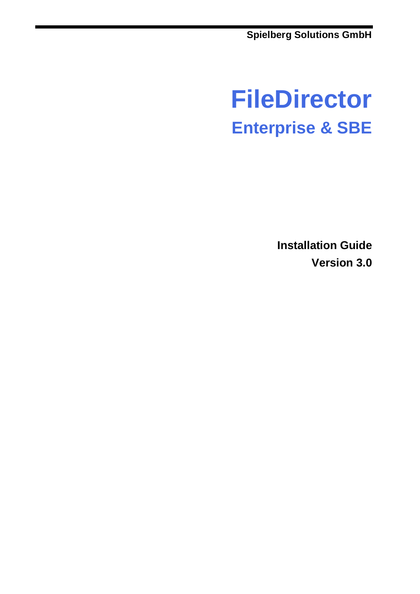**Spielberg Solutions GmbH**

# **FileDirector Enterprise & SBE**

**Installation Guide Version 3.0**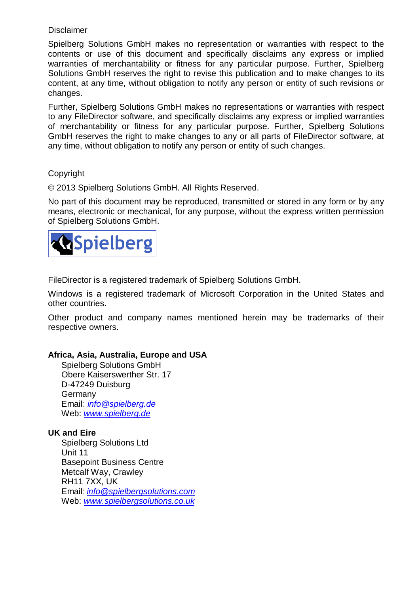#### **Disclaimer**

Spielberg Solutions GmbH makes no representation or warranties with respect to the contents or use of this document and specifically disclaims any express or implied warranties of merchantability or fitness for any particular purpose. Further, Spielberg Solutions GmbH reserves the right to revise this publication and to make changes to its content, at any time, without obligation to notify any person or entity of such revisions or changes.

Further, Spielberg Solutions GmbH makes no representations or warranties with respect to any FileDirector software, and specifically disclaims any express or implied warranties of merchantability or fitness for any particular purpose. Further, Spielberg Solutions GmbH reserves the right to make changes to any or all parts of FileDirector software, at any time, without obligation to notify any person or entity of such changes.

#### Copyright

© 2013 Spielberg Solutions GmbH. All Rights Reserved.

No part of this document may be reproduced, transmitted or stored in any form or by any means, electronic or mechanical, for any purpose, without the express written permission of Spielberg Solutions GmbH.



FileDirector is a registered trademark of Spielberg Solutions GmbH.

Windows is a registered trademark of Microsoft Corporation in the United States and other countries.

Other product and company names mentioned herein may be trademarks of their respective owners.

#### **Africa, Asia, Australia, Europe and USA**

Spielberg Solutions GmbH Obere Kaiserswerther Str. 17 D-47249 Duisburg **Germany** Email: *[info@spielberg.de](mailto:info@spielberg.de)* Web: *[www.spielberg.de](http://www.spielberg.de/)*

#### **UK and Eire**

Spielberg Solutions Ltd Unit 11 Basepoint Business Centre Metcalf Way, Crawley RH11 7XX, UK Email: *[info@spielbergsolutions.com](mailto:info@spielbergsolutions.com)* Web: *[www.spielbergsolutions.co.uk](http://www.spielbergsolutions.co.uk/)*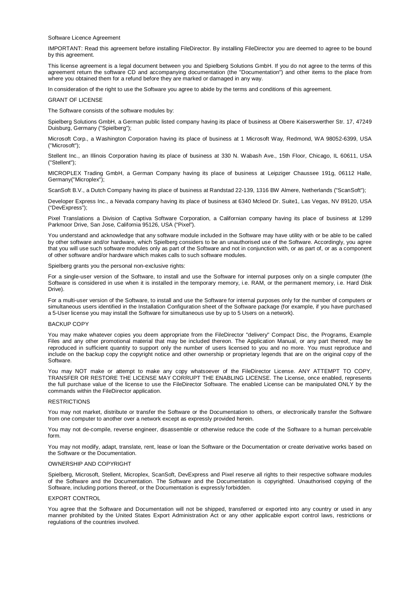Software Licence Agreement

IMPORTANT: Read this agreement before installing FileDirector. By installing FileDirector you are deemed to agree to be bound by this agreement.

This license agreement is a legal document between you and Spielberg Solutions GmbH. If you do not agree to the terms of this agreement return the software CD and accompanying documentation (the "Documentation") and other items to the place from where you obtained them for a refund before they are marked or damaged in any way.

In consideration of the right to use the Software you agree to abide by the terms and conditions of this agreement.

#### GRANT OF LICENSE

The Software consists of the software modules by:

Spielberg Solutions GmbH, a German public listed company having its place of business at Obere Kaiserswerther Str. 17, 47249 Duisburg, Germany ("Spielberg");

Microsoft Corp., a Washington Corporation having its place of business at 1 Microsoft Way, Redmond, WA 98052-6399, USA ("Microsoft");

Stellent Inc., an Illinois Corporation having its place of business at 330 N. Wabash Ave., 15th Floor, Chicago, IL 60611, USA ("Stellent");

MICROPLEX Trading GmbH, a German Company having its place of business at Leipziger Chaussee 191g, 06112 Halle, Germany("Microplex");

ScanSoft B.V., a Dutch Company having its place of business at Randstad 22-139, 1316 BW Almere, Netherlands ("ScanSoft");

Developer Express Inc., a Nevada company having its place of business at 6340 Mcleod Dr. Suite1, Las Vegas, NV 89120, USA ("DevExpress");

Pixel Translations a Division of Captiva Software Corporation, a Californian company having its place of business at 1299 Parkmoor Drive, San Jose, California 95126, USA ("Pixel").

You understand and acknowledge that any software module included in the Software may have utility with or be able to be called by other software and/or hardware, which Spielberg considers to be an unauthorised use of the Software. Accordingly, you agree that you will use such software modules only as part of the Software and not in conjunction with, or as part of, or as a component of other software and/or hardware which makes calls to such software modules.

Spielberg grants you the personal non-exclusive rights:

For a single-user version of the Software, to install and use the Software for internal purposes only on a single computer (the Software is considered in use when it is installed in the temporary memory, i.e. RAM, or the permanent memory, i.e. Hard Disk Drive).

For a multi-user version of the Software, to install and use the Software for internal purposes only for the number of computers or simultaneous users identified in the Installation Configuration sheet of the Software package (for example, if you have purchased a 5-User license you may install the Software for simultaneous use by up to 5 Users on a network).

#### BACKUP COPY

You may make whatever copies you deem appropriate from the FileDirector "delivery" Compact Disc, the Programs, Example Files and any other promotional material that may be included thereon. The Application Manual, or any part thereof, may be reproduced in sufficient quantity to support only the number of users licensed to you and no more. You must reproduce and include on the backup copy the copyright notice and other ownership or proprietary legends that are on the original copy of the Software.

You may NOT make or attempt to make any copy whatsoever of the FileDirector License. ANY ATTEMPT TO COPY, TRANSFER OR RESTORE THE LICENSE MAY CORRUPT THE ENABLING LICENSE. The License, once enabled, represents the full purchase value of the license to use the FileDirector Software. The enabled License can be manipulated ONLY by the commands within the FileDirector application.

#### **RESTRICTIONS**

You may not market, distribute or transfer the Software or the Documentation to others, or electronically transfer the Software from one computer to another over a network except as expressly provided herein.

You may not de-compile, reverse engineer, disassemble or otherwise reduce the code of the Software to a human perceivable form.

You may not modify, adapt, translate, rent, lease or loan the Software or the Documentation or create derivative works based on the Software or the Documentation.

#### OWNERSHIP AND COPYRIGHT

Spielberg, Microsoft, Stellent, Microplex, ScanSoft, DevExpress and Pixel reserve all rights to their respective software modules of the Software and the Documentation. The Software and the Documentation is copyrighted. Unauthorised copying of the Software, including portions thereof, or the Documentation is expressly forbidden.

#### EXPORT CONTROL

You agree that the Software and Documentation will not be shipped, transferred or exported into any country or used in any manner prohibited by the United States Export Administration Act or any other applicable export control laws, restrictions or regulations of the countries involved.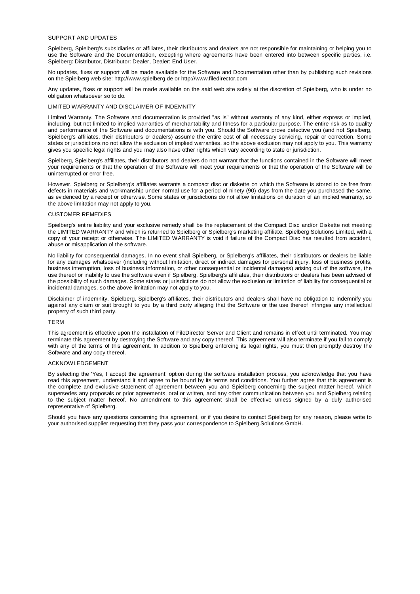#### SUPPORT AND UPDATES

Spielberg, Spielberg's subsidiaries or affiliates, their distributors and dealers are not responsible for maintaining or helping you to use the Software and the Documentation, excepting where agreements have been entered into between specific parties, i.e. Spielberg: Distributor, Distributor: Dealer, Dealer: End User.

No updates, fixes or support will be made available for the Software and Documentation other than by publishing such revisions on the Spielberg web site: http://www.spielberg.de or http://www.filedirector.com

Any updates, fixes or support will be made available on the said web site solely at the discretion of Spielberg, who is under no obligation whatsoever so to do.

#### LIMITED WARRANTY AND DISCLAIMER OF INDEMNITY

Limited Warranty. The Software and documentation is provided "as is" without warranty of any kind, either express or implied, including, but not limited to implied warranties of merchantability and fitness for a particular purpose. The entire risk as to quality and performance of the Software and documentations is with you. Should the Software prove defective you (and not Spielberg, Spielberg's affiliates, their distributors or dealers) assume the entire cost of all necessary servicing, repair or correction. Some states or jurisdictions no not allow the exclusion of implied warranties, so the above exclusion may not apply to you. This warranty gives you specific legal rights and you may also have other rights which vary according to state or jurisdiction.

Spielberg, Spielberg's affiliates, their distributors and dealers do not warrant that the functions contained in the Software will meet your requirements or that the operation of the Software will meet your requirements or that the operation of the Software will be uninterrupted or error free.

However, Spielberg or Spielberg's affiliates warrants a compact disc or diskette on which the Software is stored to be free from defects in materials and workmanship under normal use for a period of ninety (90) days from the date you purchased the same, as evidenced by a receipt or otherwise. Some states or jurisdictions do not allow limitations on duration of an implied warranty, so the above limitation may not apply to you.

#### CUSTOMER REMEDIES

Spielberg's entire liability and your exclusive remedy shall be the replacement of the Compact Disc and/or Diskette not meeting the LIMITED WARRANTY and which is returned to Spielberg or Spielberg's marketing affiliate, Spielberg Solutions Limited, with a copy of your receipt or otherwise. The LIMITED WARRANTY is void if failure of the Compact Disc has resulted from accident, abuse or misapplication of the software.

No liability for consequential damages. In no event shall Spielberg, or Spielberg's affiliates, their distributors or dealers be liable for any damages whatsoever (including without limitation, direct or indirect damages for personal injury, loss of business profits, business interruption, loss of business information, or other consequential or incidental damages) arising out of the software, the use thereof or inability to use the software even if Spielberg, Spielberg's affiliates, their distributors or dealers has been advised of the possibility of such damages. Some states or jurisdictions do not allow the exclusion or limitation of liability for consequential or incidental damages, so the above limitation may not apply to you.

Disclaimer of indemnity. Spielberg, Spielberg's affiliates, their distributors and dealers shall have no obligation to indemnify you against any claim or suit brought to you by a third party alleging that the Software or the use thereof infringes any intellectual property of such third party.

#### TERM

This agreement is effective upon the installation of FileDirector Server and Client and remains in effect until terminated. You may terminate this agreement by destroying the Software and any copy thereof. This agreement will also terminate if you fail to comply with any of the terms of this agreement. In addition to Spielberg enforcing its legal rights, you must then promptly destroy the Software and any copy thereof.

#### ACKNOWLEDGEMENT

By selecting the 'Yes, I accept the agreement' option during the software installation process, you acknowledge that you have read this agreement, understand it and agree to be bound by its terms and conditions. You further agree that this agreement is the complete and exclusive statement of agreement between you and Spielberg concerning the subject matter hereof, which supersedes any proposals or prior agreements, oral or written, and any other communication between you and Spielberg relating to the subject matter hereof. No amendment to this agreement shall be effective unless signed by a duly authorised representative of Spielberg.

Should you have any questions concerning this agreement, or if you desire to contact Spielberg for any reason, please write to your authorised supplier requesting that they pass your correspondence to Spielberg Solutions GmbH.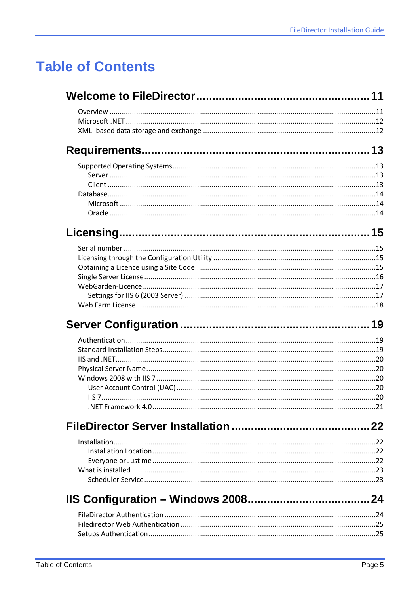# **Table of Contents**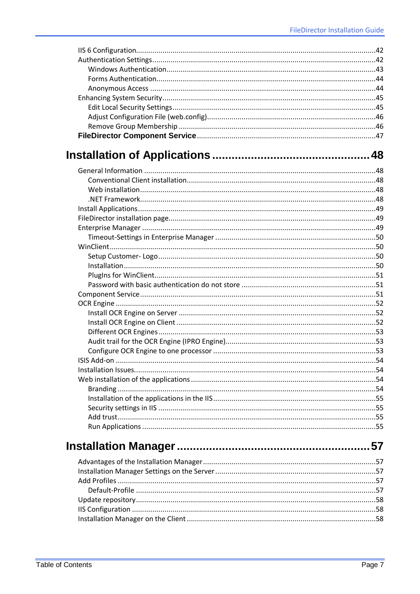| ISIS Add-on | .54 |
|-------------|-----|
|             |     |
|             |     |
|             |     |
|             |     |
|             |     |
|             |     |
|             |     |
|             | 57  |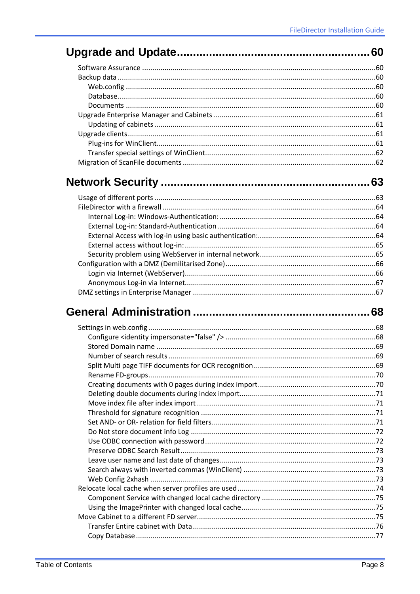## 

##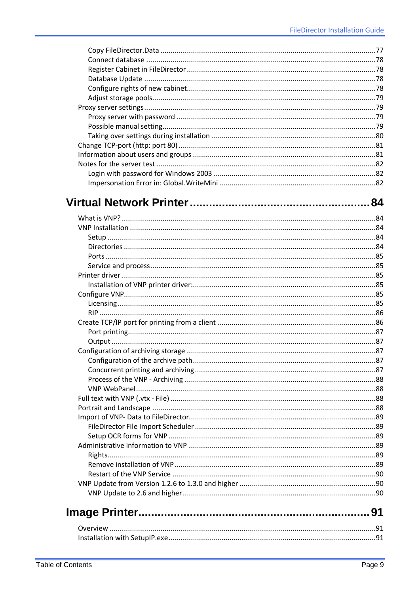##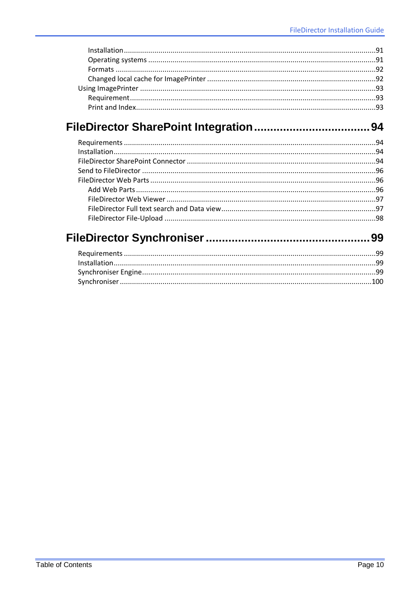## 

#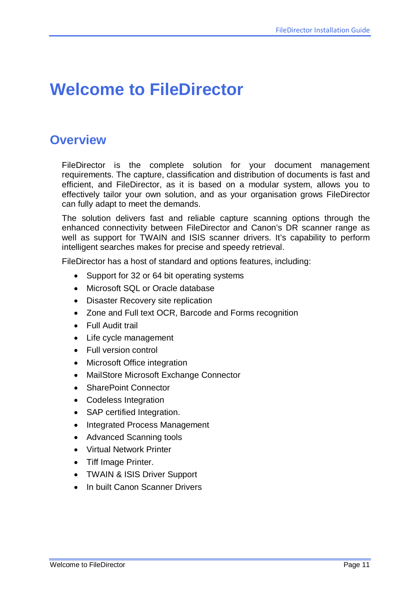# <span id="page-10-0"></span>**Welcome to FileDirector**

## <span id="page-10-1"></span>**Overview**

FileDirector is the complete solution for your document management requirements. The capture, classification and distribution of documents is fast and efficient, and FileDirector, as it is based on a modular system, allows you to effectively tailor your own solution, and as your organisation grows FileDirector can fully adapt to meet the demands.

The solution delivers fast and reliable capture scanning options through the enhanced connectivity between FileDirector and Canon's DR scanner range as well as support for TWAIN and ISIS scanner drivers. It's capability to perform intelligent searches makes for precise and speedy retrieval.

FileDirector has a host of standard and options features, including:

- Support for 32 or 64 bit operating systems
- Microsoft SQL or Oracle database
- Disaster Recovery site replication
- Zone and Full text OCR, Barcode and Forms recognition
- Full Audit trail
- Life cycle management
- Full version control
- Microsoft Office integration
- MailStore Microsoft Exchange Connector
- SharePoint Connector
- Codeless Integration
- SAP certified Integration.
- Integrated Process Management
- Advanced Scanning tools
- Virtual Network Printer
- Tiff Image Printer.
- TWAIN & ISIS Driver Support
- In built Canon Scanner Drivers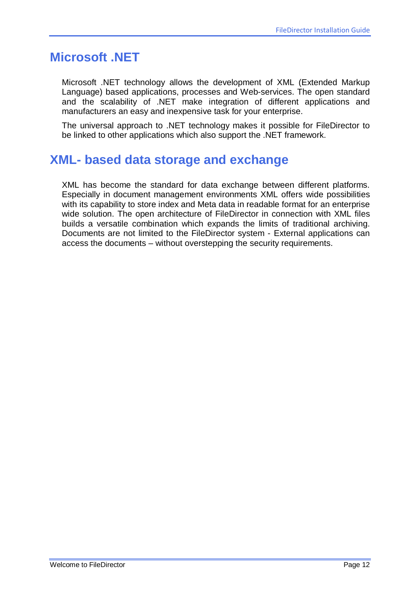### <span id="page-11-0"></span>**Microsoft .NET**

Microsoft .NET technology allows the development of XML (Extended Markup Language) based applications, processes and Web-services. The open standard and the scalability of .NET make integration of different applications and manufacturers an easy and inexpensive task for your enterprise.

The universal approach to .NET technology makes it possible for FileDirector to be linked to other applications which also support the .NET framework.

### <span id="page-11-1"></span>**XML- based data storage and exchange**

XML has become the standard for data exchange between different platforms. Especially in document management environments XML offers wide possibilities with its capability to store index and Meta data in readable format for an enterprise wide solution. The open architecture of FileDirector in connection with XML files builds a versatile combination which expands the limits of traditional archiving. Documents are not limited to the FileDirector system - External applications can access the documents – without overstepping the security requirements.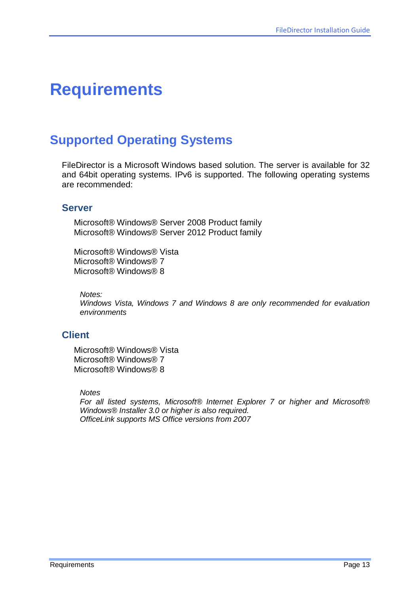# <span id="page-12-0"></span>**Requirements**

## <span id="page-12-1"></span>**Supported Operating Systems**

FileDirector is a Microsoft Windows based solution. The server is available for 32 and 64bit operating systems. IPv6 is supported. The following operating systems are recommended:

#### <span id="page-12-2"></span>**Server**

Microsoft® Windows® Server 2008 Product family Microsoft® Windows® Server 2012 Product family

Microsoft® Windows® Vista Microsoft® Windows® 7 Microsoft® Windows® 8

*Notes:*

*Windows Vista, Windows 7 and Windows 8 are only recommended for evaluation environments*

### <span id="page-12-3"></span>**Client**

Microsoft® Windows® Vista Microsoft® Windows® 7 Microsoft® Windows® 8

*Notes*

*For all listed systems, Microsoft® Internet Explorer 7 or higher and Microsoft® Windows® Installer 3.0 or higher is also required. OfficeLink supports MS Office versions from 2007*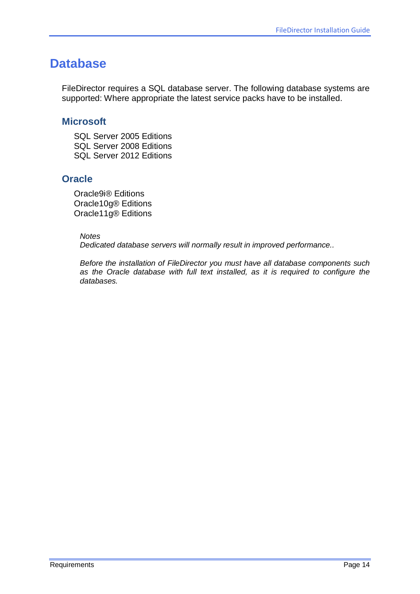### <span id="page-13-0"></span>**Database**

FileDirector requires a SQL database server. The following database systems are supported: Where appropriate the latest service packs have to be installed.

#### <span id="page-13-1"></span>**Microsoft**

SQL Server 2005 Editions SQL Server 2008 Editions SQL Server 2012 Editions

### <span id="page-13-2"></span>**Oracle**

Oracle9i® Editions Oracle10g® Editions Oracle11g® Editions

#### *Notes*

*Dedicated database servers will normally result in improved performance..*

*Before the installation of FileDirector you must have all database components such as the Oracle database with full text installed, as it is required to configure the databases.*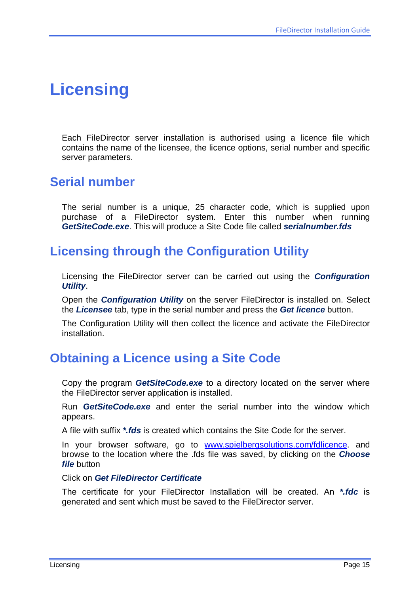# <span id="page-14-0"></span>**Licensing**

Each FileDirector server installation is authorised using a licence file which contains the name of the licensee, the licence options, serial number and specific server parameters.

### <span id="page-14-1"></span>**Serial number**

The serial number is a unique, 25 character code, which is supplied upon purchase of a FileDirector system. Enter this number when running *GetSiteCode.exe*. This will produce a Site Code file called *serialnumber.fds*

### <span id="page-14-2"></span>**Licensing through the Configuration Utility**

Licensing the FileDirector server can be carried out using the *Configuration Utility*.

Open the *Configuration Utility* on the server FileDirector is installed on. Select the *Licensee* tab, type in the serial number and press the *Get licence* button.

The Configuration Utility will then collect the licence and activate the FileDirector installation.

### <span id="page-14-3"></span>**Obtaining a Licence using a Site Code**

Copy the program *GetSiteCode.exe* to a directory located on the server where the FileDirector server application is installed.

Run *GetSiteCode.exe* and enter the serial number into the window which appears.

A file with suffix *\*.fds* is created which contains the Site Code for the server.

In your browser software, go to [www.spielbergsolutions.com/fdlicence.](http://www.spielbergsolutions.com/fdlicence) and browse to the location where the .fds file was saved, by clicking on the *Choose file* button

Click on *Get FileDirector Certificate*

The certificate for your FileDirector Installation will be created. An *\*.fdc* is generated and sent which must be saved to the FileDirector server.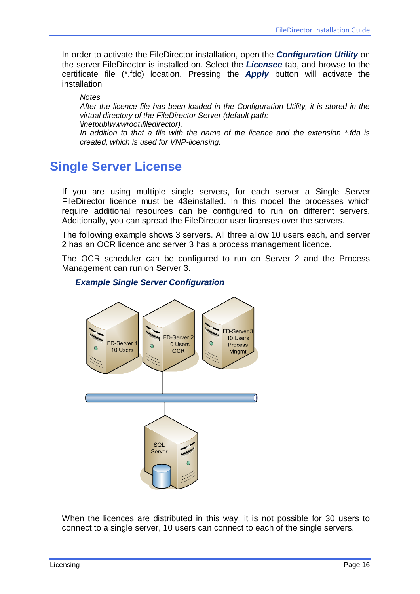In order to activate the FileDirector installation, open the *Configuration Utility* on the server FileDirector is installed on. Select the *Licensee* tab, and browse to the certificate file (\*.fdc) location. Pressing the *Apply* button will activate the installation

*Notes*

*After the licence file has been loaded in the Configuration Utility, it is stored in the virtual directory of the FileDirector Server (default path: \inetpub\wwwroot\filedirector).*

*In addition to that a file with the name of the licence and the extension \*.fda is created, which is used for VNP-licensing.*

## <span id="page-15-0"></span>**Single Server License**

If you are using multiple single servers, for each server a Single Server FileDirector licence must be 43einstalled. In this model the processes which require additional resources can be configured to run on different servers. Additionally, you can spread the FileDirector user licenses over the servers.

The following example shows 3 servers. All three allow 10 users each, and server 2 has an OCR licence and server 3 has a process management licence.

The OCR scheduler can be configured to run on Server 2 and the Process Management can run on Server 3.

#### *Example Single Server Configuration*



When the licences are distributed in this way, it is not possible for 30 users to connect to a single server, 10 users can connect to each of the single servers.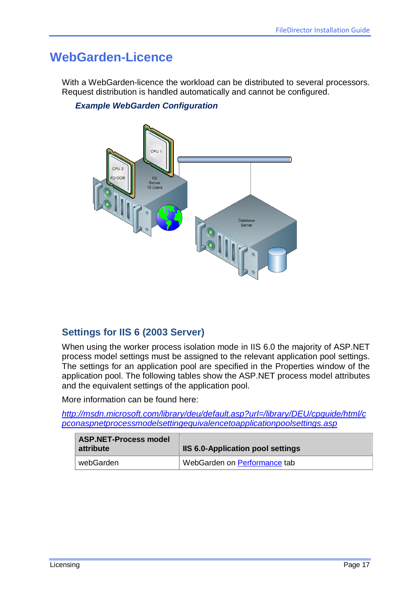## <span id="page-16-0"></span>**WebGarden-Licence**

With a WebGarden-licence the workload can be distributed to several processors. Request distribution is handled automatically and cannot be configured.

#### *Example WebGarden Configuration*



### <span id="page-16-1"></span>**Settings for IIS 6 (2003 Server)**

When using the worker process isolation mode in IIS 6.0 the majority of ASP.NET process model settings must be assigned to the relevant application pool settings. The settings for an application pool are specified in the Properties window of the application pool. The following tables show the ASP.NET process model attributes and the equivalent settings of the application pool.

More information can be found here:

*[http://msdn.microsoft.com/library/deu/default.asp?url=/library/DEU/cpguide/html/c](http://msdn.microsoft.com/library/deu/default.asp?url=/library/DEU/cpguide/html/cpconaspnetprocessmodelsettingequivalencetoapplicationpoolsettings.asp) [pconaspnetprocessmodelsettingequivalencetoapplicationpoolsettings.asp](http://msdn.microsoft.com/library/deu/default.asp?url=/library/DEU/cpguide/html/cpconaspnetprocessmodelsettingequivalencetoapplicationpoolsettings.asp)*

| <b>ASP.NET-Process model</b><br>attribute | <b>IIS 6.0-Application pool settings</b> |
|-------------------------------------------|------------------------------------------|
| webGarden                                 | WebGarden on Performance tab             |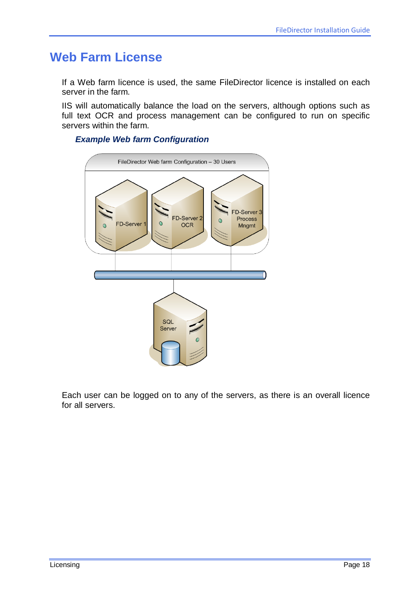## <span id="page-17-0"></span>**Web Farm License**

If a Web farm licence is used, the same FileDirector licence is installed on each server in the farm.

IIS will automatically balance the load on the servers, although options such as full text OCR and process management can be configured to run on specific servers within the farm.

#### *Example Web farm Configuration*



Each user can be logged on to any of the servers, as there is an overall licence for all servers.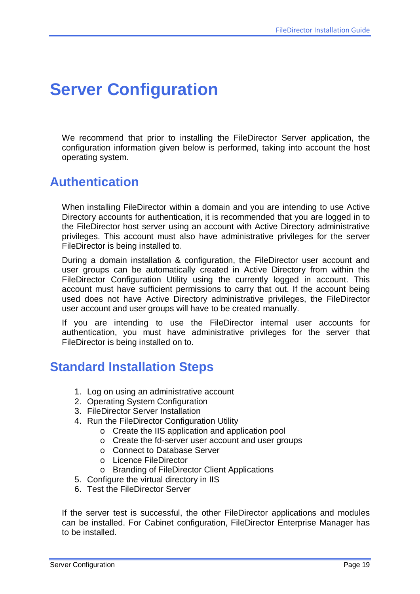# <span id="page-18-0"></span>**Server Configuration**

We recommend that prior to installing the FileDirector Server application, the configuration information given below is performed, taking into account the host operating system.

### <span id="page-18-1"></span>**Authentication**

When installing FileDirector within a domain and you are intending to use Active Directory accounts for authentication, it is recommended that you are logged in to the FileDirector host server using an account with Active Directory administrative privileges. This account must also have administrative privileges for the server FileDirector is being installed to.

During a domain installation & configuration, the FileDirector user account and user groups can be automatically created in Active Directory from within the FileDirector Configuration Utility using the currently logged in account. This account must have sufficient permissions to carry that out. If the account being used does not have Active Directory administrative privileges, the FileDirector user account and user groups will have to be created manually.

If you are intending to use the FileDirector internal user accounts for authentication, you must have administrative privileges for the server that FileDirector is being installed on to.

### <span id="page-18-2"></span>**Standard Installation Steps**

- 1. Log on using an administrative account
- 2. Operating System Configuration
- 3. FileDirector Server Installation
- 4. Run the FileDirector Configuration Utility
	- o Create the IIS application and application pool
	- o Create the fd-server user account and user groups
	- o Connect to Database Server
	- o Licence FileDirector
	- o Branding of FileDirector Client Applications
- 5. Configure the virtual directory in IIS
- 6. Test the FileDirector Server

If the server test is successful, the other FileDirector applications and modules can be installed. For Cabinet configuration, FileDirector Enterprise Manager has to be installed.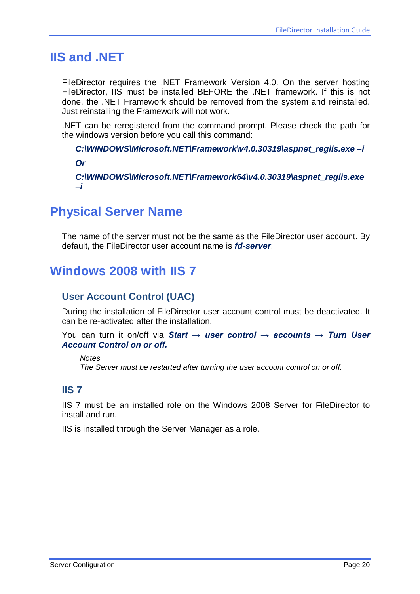### <span id="page-19-0"></span>**IIS and .NET**

FileDirector requires the .NET Framework Version 4.0. On the server hosting FileDirector, IIS must be installed BEFORE the .NET framework. If this is not done, the .NET Framework should be removed from the system and reinstalled. Just reinstalling the Framework will not work.

.NET can be reregistered from the command prompt. Please check the path for the windows version before you call this command:

*C:\WINDOWS\Microsoft.NET\Framework\v4.0.30319\aspnet\_regiis.exe –i Or C:\WINDOWS\Microsoft.NET\Framework64\v4.0.30319\aspnet\_regiis.exe –i*

### <span id="page-19-1"></span>**Physical Server Name**

The name of the server must not be the same as the FileDirector user account. By default, the FileDirector user account name is *fd-server*.

## <span id="page-19-2"></span>**Windows 2008 with IIS 7**

### <span id="page-19-3"></span>**User Account Control (UAC)**

During the installation of FileDirector user account control must be deactivated. It can be re-activated after the installation.

You can turn it on/off via *Start → user control → accounts → Turn User Account Control on or off.*

*Notes The Server must be restarted after turning the user account control on or off.*

### <span id="page-19-4"></span>**IIS 7**

IIS 7 must be an installed role on the Windows 2008 Server for FileDirector to install and run.

IIS is installed through the Server Manager as a role.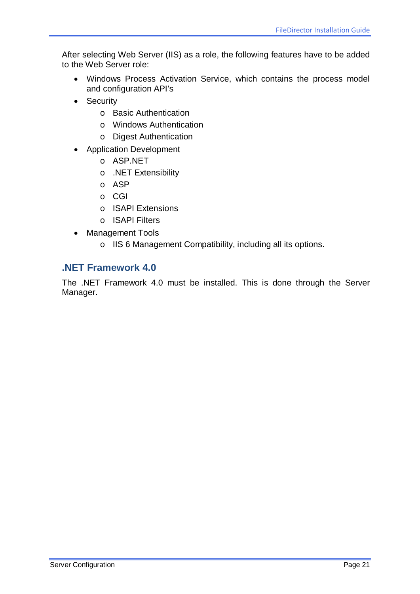After selecting Web Server (IIS) as a role, the following features have to be added to the Web Server role:

- Windows Process Activation Service, which contains the process model and configuration API's
- Security
	- o Basic Authentication
	- o Windows Authentication
	- o Digest Authentication
- Application Development
	- o ASP.NET
	- o .NET Extensibility
	- o ASP
	- o CGI
	- o ISAPI Extensions
	- o ISAPI Filters
- Management Tools
	- o IIS 6 Management Compatibility, including all its options.

### <span id="page-20-0"></span>**.NET Framework 4.0**

The .NET Framework 4.0 must be installed. This is done through the Server Manager.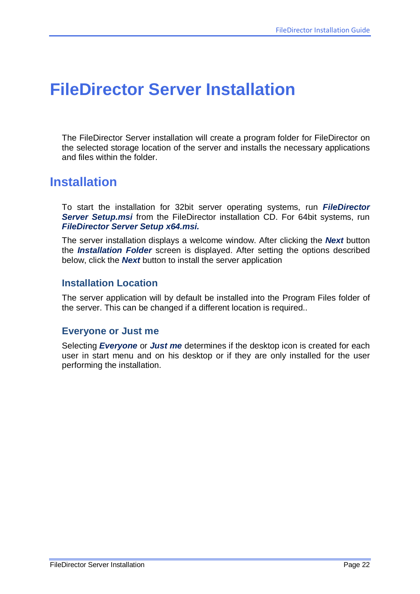# <span id="page-21-0"></span>**FileDirector Server Installation**

The FileDirector Server installation will create a program folder for FileDirector on the selected storage location of the server and installs the necessary applications and files within the folder.

### <span id="page-21-1"></span>**Installation**

To start the installation for 32bit server operating systems, run *FileDirector Server Setup.msi* from the FileDirector installation CD. For 64bit systems, run *FileDirector Server Setup x64.msi.*

The server installation displays a welcome window. After clicking the *Next* button the *Installation Folder* screen is displayed. After setting the options described below, click the *Next* button to install the server application

### <span id="page-21-2"></span>**Installation Location**

The server application will by default be installed into the Program Files folder of the server. This can be changed if a different location is required..

#### <span id="page-21-3"></span>**Everyone or Just me**

Selecting *Everyone* or *Just me* determines if the desktop icon is created for each user in start menu and on his desktop or if they are only installed for the user performing the installation.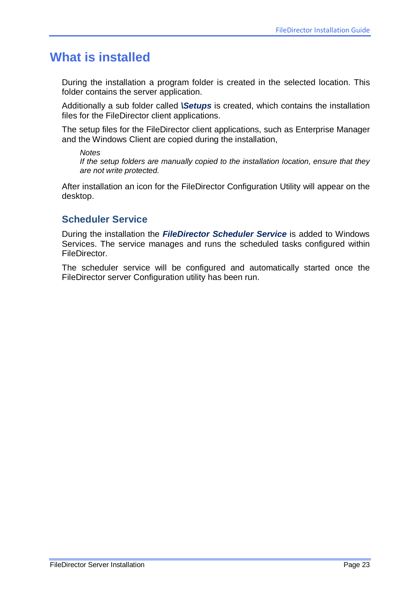### <span id="page-22-0"></span>**What is installed**

During the installation a program folder is created in the selected location. This folder contains the server application.

Additionally a sub folder called *\Setups* is created, which contains the installation files for the FileDirector client applications.

The setup files for the FileDirector client applications, such as Enterprise Manager and the Windows Client are copied during the installation,

*Notes*

*If the setup folders are manually copied to the installation location, ensure that they are not write protected.*

After installation an icon for the FileDirector Configuration Utility will appear on the desktop.

### <span id="page-22-1"></span>**Scheduler Service**

During the installation the *FileDirector Scheduler Service* is added to Windows Services. The service manages and runs the scheduled tasks configured within FileDirector.

The scheduler service will be configured and automatically started once the FileDirector server Configuration utility has been run.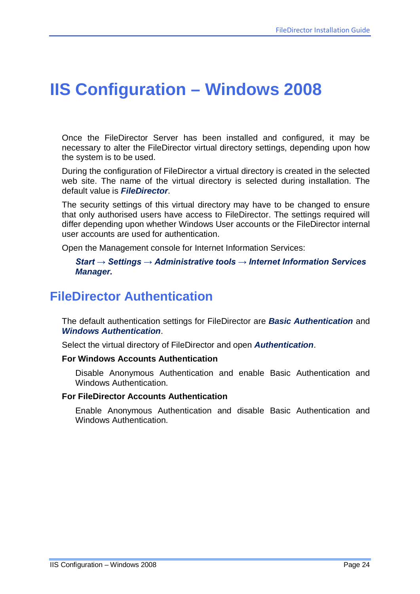# <span id="page-23-0"></span>**IIS Configuration – Windows 2008**

Once the FileDirector Server has been installed and configured, it may be necessary to alter the FileDirector virtual directory settings, depending upon how the system is to be used.

During the configuration of FileDirector a virtual directory is created in the selected web site. The name of the virtual directory is selected during installation. The default value is *FileDirector*.

The security settings of this virtual directory may have to be changed to ensure that only authorised users have access to FileDirector. The settings required will differ depending upon whether Windows User accounts or the FileDirector internal user accounts are used for authentication.

Open the Management console for Internet Information Services:

#### *Start → Settings → Administrative tools → Internet Information Services Manager.*

### <span id="page-23-1"></span>**FileDirector Authentication**

The default authentication settings for FileDirector are *Basic Authentication* and *Windows Authentication*.

Select the virtual directory of FileDirector and open *Authentication*.

#### **For Windows Accounts Authentication**

Disable Anonymous Authentication and enable Basic Authentication and Windows Authentication.

#### **For FileDirector Accounts Authentication**

Enable Anonymous Authentication and disable Basic Authentication and Windows Authentication.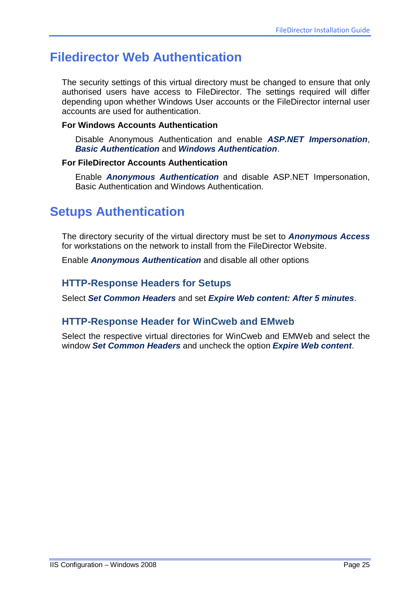## <span id="page-24-0"></span>**Filedirector Web Authentication**

The security settings of this virtual directory must be changed to ensure that only authorised users have access to FileDirector. The settings required will differ depending upon whether Windows User accounts or the FileDirector internal user accounts are used for authentication.

#### **For Windows Accounts Authentication**

Disable Anonymous Authentication and enable *ASP.NET Impersonation*, *Basic Authentication* and *Windows Authentication*.

#### **For FileDirector Accounts Authentication**

Enable *Anonymous Authentication* and disable ASP.NET Impersonation, Basic Authentication and Windows Authentication.

### <span id="page-24-1"></span>**Setups Authentication**

The directory security of the virtual directory must be set to *Anonymous Access* for workstations on the network to install from the FileDirector Website.

Enable *Anonymous Authentication* and disable all other options

### <span id="page-24-2"></span>**HTTP-Response Headers for Setups**

Select *Set Common Headers* and set *Expire Web content: After 5 minutes*.

### <span id="page-24-3"></span>**HTTP-Response Header for WinCweb and EMweb**

Select the respective virtual directories for WinCweb and EMWeb and select the window *Set Common Headers* and uncheck the option *Expire Web content*.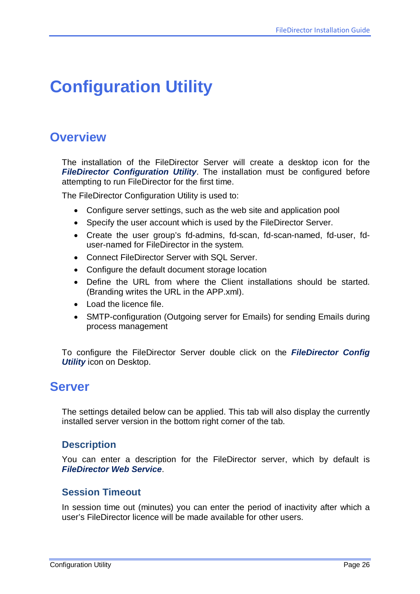# <span id="page-25-0"></span>**Configuration Utility**

### <span id="page-25-1"></span>**Overview**

The installation of the FileDirector Server will create a desktop icon for the *FileDirector Configuration Utility*. The installation must be configured before attempting to run FileDirector for the first time.

The FileDirector Configuration Utility is used to:

- Configure server settings, such as the web site and application pool
- Specify the user account which is used by the FileDirector Server.
- Create the user group's fd-admins, fd-scan, fd-scan-named, fd-user, fduser-named for FileDirector in the system.
- Connect FileDirector Server with SQL Server.
- Configure the default document storage location
- Define the URL from where the Client installations should be started. (Branding writes the URL in the APP.xml).
- Load the licence file.
- SMTP-configuration (Outgoing server for Emails) for sending Emails during process management

To configure the FileDirector Server double click on the *FileDirector Config Utility* icon on Desktop.

## <span id="page-25-2"></span>**Server**

The settings detailed below can be applied. This tab will also display the currently installed server version in the bottom right corner of the tab.

### <span id="page-25-3"></span>**Description**

You can enter a description for the FileDirector server, which by default is *FileDirector Web Service*.

### <span id="page-25-4"></span>**Session Timeout**

In session time out (minutes) you can enter the period of inactivity after which a user's FileDirector licence will be made available for other users.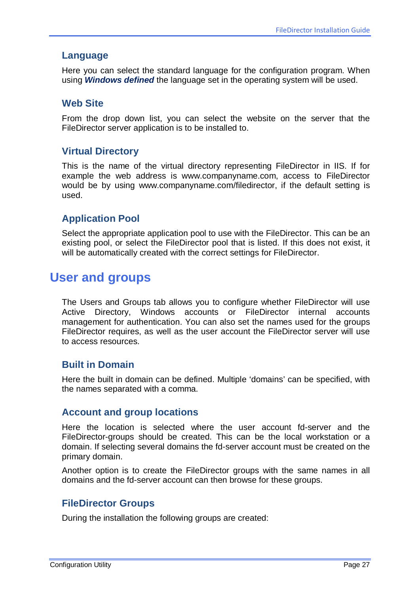#### <span id="page-26-0"></span>**Language**

Here you can select the standard language for the configuration program. When using *Windows defined* the language set in the operating system will be used.

#### <span id="page-26-1"></span>**Web Site**

From the drop down list, you can select the website on the server that the FileDirector server application is to be installed to.

#### <span id="page-26-2"></span>**Virtual Directory**

This is the name of the virtual directory representing FileDirector in IIS. If for example the web address is www.companyname.com, access to FileDirector would be by using www.companyname.com/filedirector, if the default setting is used.

### <span id="page-26-3"></span>**Application Pool**

Select the appropriate application pool to use with the FileDirector. This can be an existing pool, or select the FileDirector pool that is listed. If this does not exist, it will be automatically created with the correct settings for FileDirector.

### <span id="page-26-4"></span>**User and groups**

The Users and Groups tab allows you to configure whether FileDirector will use Active Directory, Windows accounts or FileDirector internal accounts management for authentication. You can also set the names used for the groups FileDirector requires, as well as the user account the FileDirector server will use to access resources.

### <span id="page-26-5"></span>**Built in Domain**

Here the built in domain can be defined. Multiple 'domains' can be specified, with the names separated with a comma.

#### <span id="page-26-6"></span>**Account and group locations**

Here the location is selected where the user account fd-server and the FileDirector-groups should be created. This can be the local workstation or a domain. If selecting several domains the fd-server account must be created on the primary domain.

Another option is to create the FileDirector groups with the same names in all domains and the fd-server account can then browse for these groups.

### <span id="page-26-7"></span>**FileDirector Groups**

During the installation the following groups are created: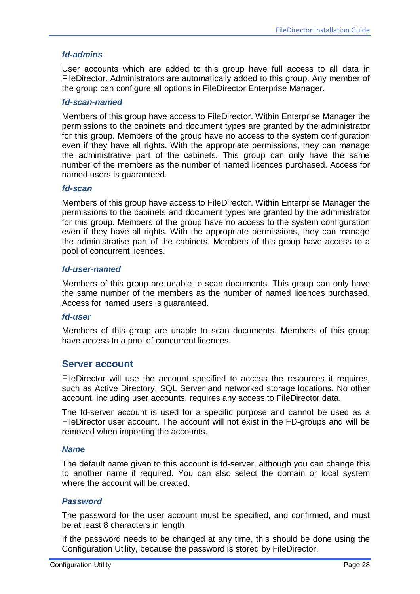#### *fd-admins*

User accounts which are added to this group have full access to all data in FileDirector. Administrators are automatically added to this group. Any member of the group can configure all options in FileDirector Enterprise Manager.

#### *fd-scan-named*

Members of this group have access to FileDirector. Within Enterprise Manager the permissions to the cabinets and document types are granted by the administrator for this group. Members of the group have no access to the system configuration even if they have all rights. With the appropriate permissions, they can manage the administrative part of the cabinets. This group can only have the same number of the members as the number of named licences purchased. Access for named users is guaranteed.

#### *fd-scan*

Members of this group have access to FileDirector. Within Enterprise Manager the permissions to the cabinets and document types are granted by the administrator for this group. Members of the group have no access to the system configuration even if they have all rights. With the appropriate permissions, they can manage the administrative part of the cabinets. Members of this group have access to a pool of concurrent licences.

#### *fd-user-named*

Members of this group are unable to scan documents. This group can only have the same number of the members as the number of named licences purchased. Access for named users is guaranteed.

#### *fd-user*

Members of this group are unable to scan documents. Members of this group have access to a pool of concurrent licences.

#### <span id="page-27-0"></span>**Server account**

FileDirector will use the account specified to access the resources it requires, such as Active Directory, SQL Server and networked storage locations. No other account, including user accounts, requires any access to FileDirector data.

The fd-server account is used for a specific purpose and cannot be used as a FileDirector user account. The account will not exist in the FD-groups and will be removed when importing the accounts.

#### *Name*

The default name given to this account is fd-server, although you can change this to another name if required. You can also select the domain or local system where the account will be created.

#### *Password*

The password for the user account must be specified, and confirmed, and must be at least 8 characters in length

If the password needs to be changed at any time, this should be done using the Configuration Utility, because the password is stored by FileDirector.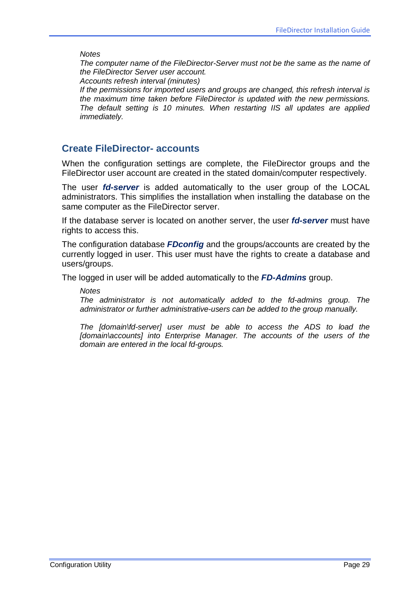*Notes*

*The computer name of the FileDirector-Server must not be the same as the name of the FileDirector Server user account.*

*Accounts refresh interval (minutes)*

*If the permissions for imported users and groups are changed, this refresh interval is the maximum time taken before FileDirector is updated with the new permissions. The default setting is 10 minutes. When restarting IIS all updates are applied immediately.*

#### <span id="page-28-0"></span>**Create FileDirector- accounts**

When the configuration settings are complete, the FileDirector groups and the FileDirector user account are created in the stated domain/computer respectively.

The user *fd-server* is added automatically to the user group of the LOCAL administrators. This simplifies the installation when installing the database on the same computer as the FileDirector server.

If the database server is located on another server, the user *fd-server* must have rights to access this.

The configuration database *FDconfig* and the groups/accounts are created by the currently logged in user. This user must have the rights to create a database and users/groups.

The logged in user will be added automatically to the *FD-Admins* group.

*Notes*

*The administrator is not automatically added to the fd-admins group. The administrator or further administrative-users can be added to the group manually.* 

*The [domain\fd-server] user must be able to access the ADS to load the [domain\accounts] into Enterprise Manager. The accounts of the users of the domain are entered in the local fd-groups.*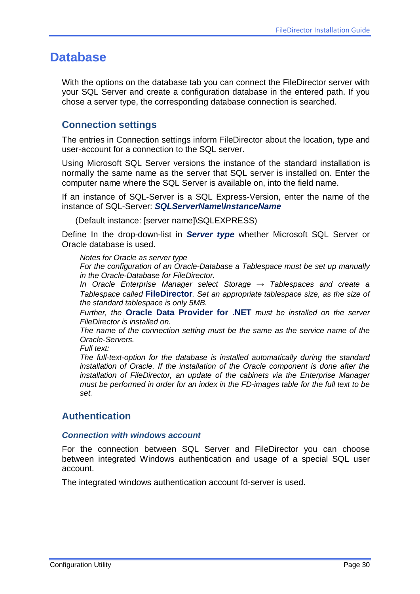### <span id="page-29-0"></span>**Database**

With the options on the database tab you can connect the FileDirector server with your SQL Server and create a configuration database in the entered path. If you chose a server type, the corresponding database connection is searched.

### <span id="page-29-1"></span>**Connection settings**

The entries in Connection settings inform FileDirector about the location, type and user-account for a connection to the SQL server.

Using Microsoft SQL Server versions the instance of the standard installation is normally the same name as the server that SQL server is installed on. Enter the computer name where the SQL Server is available on, into the field name.

If an instance of SQL-Server is a SQL Express-Version, enter the name of the instance of SQL-Server: *SQLServerName\InstanceName*

(Default instance: [server name]\SQLEXPRESS)

Define In the drop-down-list in *Server type* whether Microsoft SQL Server or Oracle database is used.

*Notes for Oracle as server type*

*For the configuration of an Oracle-Database a Tablespace must be set up manually in the Oracle-Database for FileDirector.*

*In Oracle Enterprise Manager select Storage → Tablespaces and create a Tablespace called* **FileDirector***. Set an appropriate tablespace size, as the size of the standard tablespace is only 5MB.* 

*Further, the* **Oracle Data Provider for .NET** *must be installed on the server FileDirector is installed on.* 

*The name of the connection setting must be the same as the service name of the Oracle-Servers.*

*Full text:*

*The full-text-option for the database is installed automatically during the standard installation of Oracle. If the installation of the Oracle component is done after the installation of FileDirector, an update of the cabinets via the Enterprise Manager must be performed in order for an index in the FD-images table for the full text to be set.*

### <span id="page-29-2"></span>**Authentication**

#### *Connection with windows account*

For the connection between SQL Server and FileDirector you can choose between integrated Windows authentication and usage of a special SQL user account.

The integrated windows authentication account fd-server is used.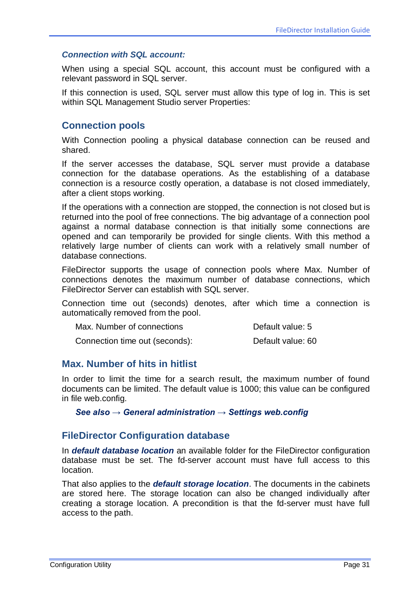#### *Connection with SQL account:*

When using a special SQL account, this account must be configured with a relevant password in SQL server.

If this connection is used, SQL server must allow this type of log in. This is set within SQL Management Studio server Properties:

#### <span id="page-30-0"></span>**Connection pools**

With Connection pooling a physical database connection can be reused and shared.

If the server accesses the database, SQL server must provide a database connection for the database operations. As the establishing of a database connection is a resource costly operation, a database is not closed immediately, after a client stops working.

If the operations with a connection are stopped, the connection is not closed but is returned into the pool of free connections. The big advantage of a connection pool against a normal database connection is that initially some connections are opened and can temporarily be provided for single clients. With this method a relatively large number of clients can work with a relatively small number of database connections.

FileDirector supports the usage of connection pools where Max. Number of connections denotes the maximum number of database connections, which FileDirector Server can establish with SQL server.

Connection time out (seconds) denotes, after which time a connection is automatically removed from the pool.

| Max. Number of connections | Default value: 5 |
|----------------------------|------------------|
|                            |                  |

Connection time out (seconds): Default value: 60

#### <span id="page-30-1"></span>**Max. Number of hits in hitlist**

In order to limit the time for a search result, the maximum number of found documents can be limited. The default value is 1000; this value can be configured in file web.config.

*[See also → General administration → Settings web.config](#page-67-1)*

#### <span id="page-30-2"></span>**FileDirector Configuration database**

In *default database location* an available folder for the FileDirector configuration database must be set. The fd-server account must have full access to this location.

That also applies to the *default storage location*. The documents in the cabinets are stored here. The storage location can also be changed individually after creating a storage location. A precondition is that the fd-server must have full access to the path.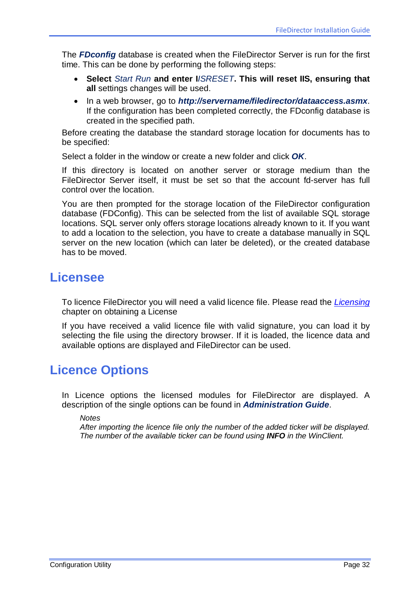The *FDconfig* database is created when the FileDirector Server is run for the first time. This can be done by performing the following steps:

- **Select** *Start Run* **and enter I***ISRESET***. This will reset IIS, ensuring that all** settings changes will be used.
- In a web browser, go to *http://servername/filedirector/dataaccess.asmx*. If the configuration has been completed correctly, the FDconfig database is created in the specified path.

Before creating the database the standard storage location for documents has to be specified:

Select a folder in the window or create a new folder and click *OK*.

If this directory is located on another server or storage medium than the FileDirector Server itself, it must be set so that the account fd-server has full control over the location.

You are then prompted for the storage location of the FileDirector configuration database (FDConfig). This can be selected from the list of available SQL storage locations. SQL server only offers storage locations already known to it. If you want to add a location to the selection, you have to create a database manually in SQL server on the new location (which can later be deleted), or the created database has to be moved.

### <span id="page-31-0"></span>**Licensee**

To licence FileDirector you will need a valid licence file. Please read the *[Licensing](#page-14-0)* chapter on obtaining a License

If you have received a valid licence file with valid signature, you can load it by selecting the file using the directory browser. If it is loaded, the licence data and available options are displayed and FileDirector can be used.

## <span id="page-31-1"></span>**Licence Options**

In Licence options the licensed modules for FileDirector are displayed. A description of the single options can be found in *Administration Guide*.

*Notes*

*After importing the licence file only the number of the added ticker will be displayed. The number of the available ticker can be found using INFO in the WinClient.*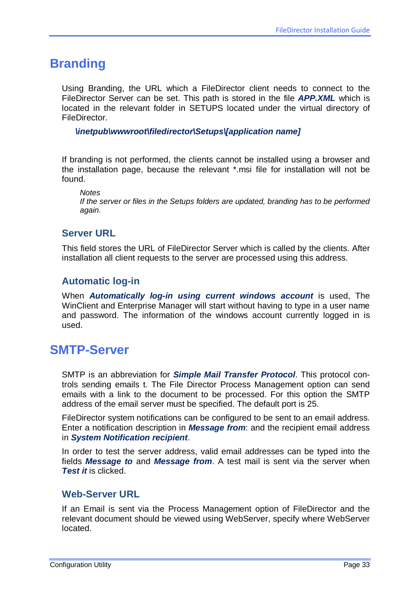### <span id="page-32-0"></span>**Branding**

Using Branding, the URL which a FileDirector client needs to connect to the FileDirector Server can be set. This path is stored in the file *APP.XML* which is located in the relevant folder in SETUPS located under the virtual directory of FileDirector.

*\inetpub\wwwroot\filedirector\Setups\[application name]*

If branding is not performed, the clients cannot be installed using a browser and the installation page, because the relevant \*.msi file for installation will not be found.

*Notes*

*If the server or files in the Setups folders are updated, branding has to be performed again.*

### <span id="page-32-1"></span>**Server URL**

This field stores the URL of FileDirector Server which is called by the clients. After installation all client requests to the server are processed using this address.

### <span id="page-32-2"></span>**Automatic log-in**

When *Automatically log-in using current windows account* is used, The WinClient and Enterprise Manager will start without having to type in a user name and password. The information of the windows account currently logged in is used.

### <span id="page-32-3"></span>**SMTP-Server**

SMTP is an abbreviation for *Simple Mail Transfer Protocol*. This protocol controls sending emails t. The File Director Process Management option can send emails with a link to the document to be processed. For this option the SMTP address of the email server must be specified. The default port is 25.

FileDirector system notifications can be configured to be sent to an email address. Enter a notification description in *Message from*: and the recipient email address in *System Notification recipient*.

In order to test the server address, valid email addresses can be typed into the fields *Message to* and *Message from*. A test mail is sent via the server when *Test it* is clicked.

### <span id="page-32-4"></span>**Web-Server URL**

If an Email is sent via the Process Management option of FileDirector and the relevant document should be viewed using WebServer, specify where WebServer located.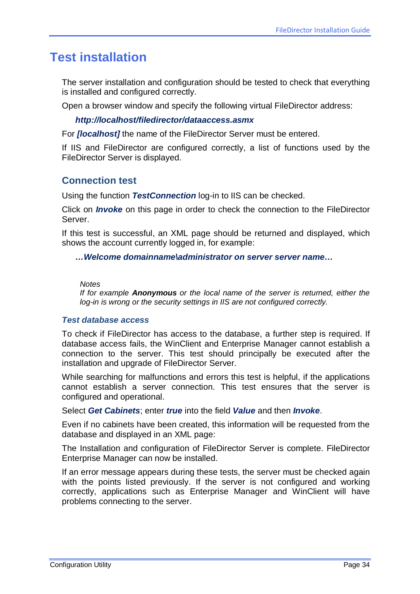### <span id="page-33-0"></span>**Test installation**

The server installation and configuration should be tested to check that everything is installed and configured correctly.

Open a browser window and specify the following virtual FileDirector address:

#### *http://localhost/filedirector/dataaccess.asmx*

For *[localhost]* the name of the FileDirector Server must be entered.

If IIS and FileDirector are configured correctly, a list of functions used by the FileDirector Server is displayed.

#### <span id="page-33-1"></span>**Connection test**

Using the function *TestConnection* log-in to IIS can be checked.

Click on *Invoke* on this page in order to check the connection to the FileDirector Server.

If this test is successful, an XML page should be returned and displayed, which shows the account currently logged in, for example:

#### *…Welcome domainname\administrator on server server name…*

#### *Notes*

*If for example Anonymous or the local name of the server is returned, either the log-in is wrong or the security settings in IIS are not configured correctly.*

#### *Test database access*

To check if FileDirector has access to the database, a further step is required. If database access fails, the WinClient and Enterprise Manager cannot establish a connection to the server. This test should principally be executed after the installation and upgrade of FileDirector Server.

While searching for malfunctions and errors this test is helpful, if the applications cannot establish a server connection. This test ensures that the server is configured and operational.

Select *Get Cabinets*; enter *true* into the field *Value* and then *Invoke*.

Even if no cabinets have been created, this information will be requested from the database and displayed in an XML page:

The Installation and configuration of FileDirector Server is complete. FileDirector Enterprise Manager can now be installed.

If an error message appears during these tests, the server must be checked again with the points listed previously. If the server is not configured and working correctly, applications such as Enterprise Manager and WinClient will have problems connecting to the server.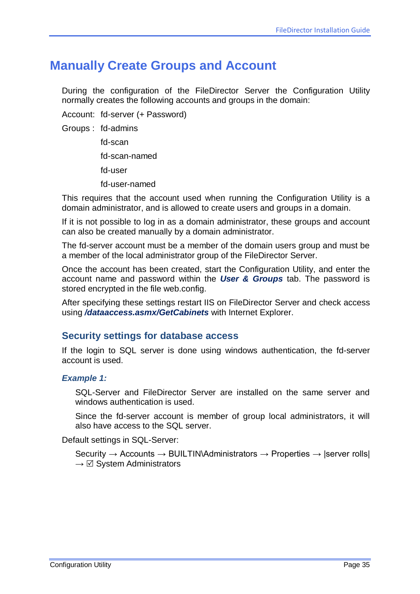## <span id="page-34-0"></span>**Manually Create Groups and Account**

During the configuration of the FileDirector Server the Configuration Utility normally creates the following accounts and groups in the domain:

Account: fd-server (+ Password)

Groups : fd-admins

fd-scan fd-scan-named fd-user fd-user-named

This requires that the account used when running the Configuration Utility is a domain administrator, and is allowed to create users and groups in a domain.

If it is not possible to log in as a domain administrator, these groups and account can also be created manually by a domain administrator.

The fd-server account must be a member of the domain users group and must be a member of the local administrator group of the FileDirector Server.

Once the account has been created, start the Configuration Utility, and enter the account name and password within the *User & Groups* tab. The password is stored encrypted in the file web.config.

After specifying these settings restart IIS on FileDirector Server and check access using */dataaccess.asmx/GetCabinets* with Internet Explorer.

### <span id="page-34-1"></span>**Security settings for database access**

If the login to SQL server is done using windows authentication, the fd-server account is used.

#### *Example 1:*

SQL-Server and FileDirector Server are installed on the same server and windows authentication is used.

Since the fd-server account is member of group local administrators, it will also have access to the SQL server.

Default settings in SQL-Server:

Security  $\rightarrow$  Accounts  $\rightarrow$  BUILTIN\Administrators  $\rightarrow$  Properties  $\rightarrow$  |server rolls|  $\rightarrow \Box$  System Administrators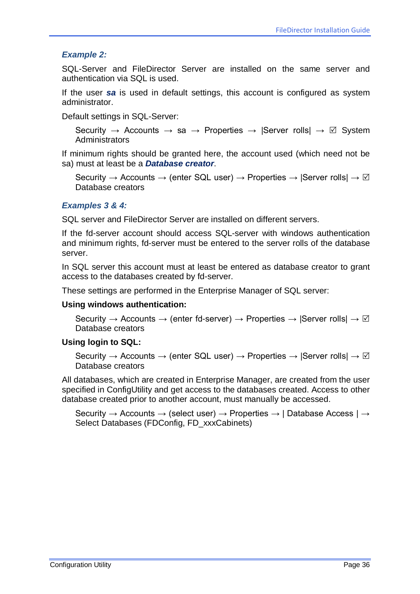#### *Example 2:*

SQL-Server and FileDirector Server are installed on the same server and authentication via SQL is used.

If the user *sa* is used in default settings, this account is configured as system administrator.

Default settings in SQL-Server:

Security  $\rightarrow$  Accounts  $\rightarrow$  sa  $\rightarrow$  Properties  $\rightarrow$  Server rolls $\rightarrow \Box$  System **Administrators** 

If minimum rights should be granted here, the account used (which need not be sa) must at least be a *Database creator*.

Security  $\rightarrow$  Accounts  $\rightarrow$  (enter SQL user)  $\rightarrow$  Properties  $\rightarrow$  |Server rolls|  $\rightarrow \Box$ Database creators

#### *Examples 3 & 4:*

SQL server and FileDirector Server are installed on different servers.

If the fd-server account should access SQL-server with windows authentication and minimum rights, fd-server must be entered to the server rolls of the database server.

In SQL server this account must at least be entered as database creator to grant access to the databases created by fd-server.

These settings are performed in the Enterprise Manager of SQL server:

#### **Using windows authentication:**

Security  $\rightarrow$  Accounts  $\rightarrow$  (enter fd-server)  $\rightarrow$  Properties  $\rightarrow$  |Server rolls|  $\rightarrow \boxtimes$ Database creators

#### **Using login to SQL:**

Security  $\rightarrow$  Accounts  $\rightarrow$  (enter SQL user)  $\rightarrow$  Properties  $\rightarrow$  Server rolls  $\rightarrow \Box$ Database creators

All databases, which are created in Enterprise Manager, are created from the user specified in ConfigUtility and get access to the databases created. Access to other database created prior to another account, must manually be accessed.

Security  $\rightarrow$  Accounts  $\rightarrow$  (select user)  $\rightarrow$  Properties  $\rightarrow$  | Database Access |  $\rightarrow$ Select Databases (FDConfig, FD\_xxxCabinets)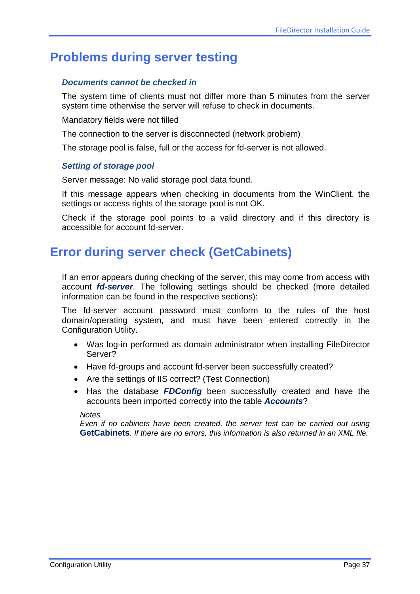# **Problems during server testing**

#### *Documents cannot be checked in*

The system time of clients must not differ more than 5 minutes from the server system time otherwise the server will refuse to check in documents.

Mandatory fields were not filled

The connection to the server is disconnected (network problem)

The storage pool is false, full or the access for fd-server is not allowed.

#### *Setting of storage pool*

Server message: No valid storage pool data found.

If this message appears when checking in documents from the WinClient, the settings or access rights of the storage pool is not OK.

Check if the storage pool points to a valid directory and if this directory is accessible for account fd-server.

# **Error during server check (GetCabinets)**

If an error appears during checking of the server, this may come from access with account *fd-server*. The following settings should be checked (more detailed information can be found in the respective sections):

The fd-server account password must conform to the rules of the host domain/operating system, and must have been entered correctly in the Configuration Utility.

- Was log-in performed as domain administrator when installing FileDirector Server?
- Have fd-groups and account fd-server been successfully created?
- Are the settings of IIS correct? (Test Connection)
- Has the database *FDConfig* been successfully created and have the accounts been imported correctly into the table *Accounts*?

*Notes*

*Even if no cabinets have been created, the server test can be carried out using* **GetCabinets***. If there are no errors, this information is also returned in an XML file.*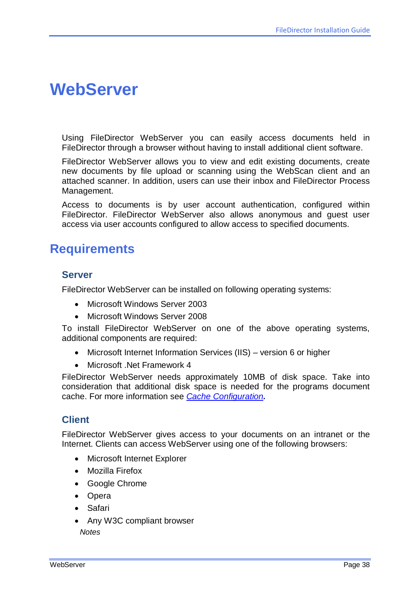# <span id="page-37-0"></span>**WebServer**

Using FileDirector WebServer you can easily access documents held in FileDirector through a browser without having to install additional client software.

FileDirector WebServer allows you to view and edit existing documents, create new documents by file upload or scanning using the WebScan client and an attached scanner. In addition, users can use their inbox and FileDirector Process Management.

Access to documents is by user account authentication, configured within FileDirector. FileDirector WebServer also allows anonymous and guest user access via user accounts configured to allow access to specified documents.

# **Requirements**

### **Server**

FileDirector WebServer can be installed on following operating systems:

- Microsoft Windows Server 2003
- Microsoft Windows Server 2008

To install FileDirector WebServer on one of the above operating systems, additional components are required:

- Microsoft Internet Information Services (IIS) version 6 or higher
- Microsoft .Net Framework 4

FileDirector WebServer needs approximately 10MB of disk space. Take into consideration that additional disk space is needed for the programs document cache. For more information see *[Cache Configuration](#page-40-0).*

### **Client**

FileDirector WebServer gives access to your documents on an intranet or the Internet. Clients can access WebServer using one of the following browsers:

- Microsoft Internet Explorer
- Mozilla Firefox
- Google Chrome
- Opera
- Safari
- Any W3C compliant browser *Notes*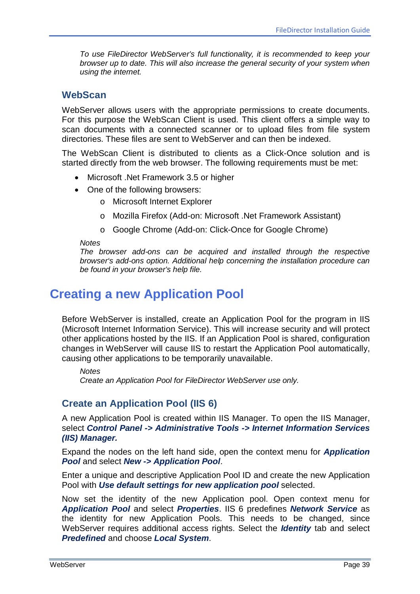*To use FileDirector WebServer's full functionality, it is recommended to keep your browser up to date. This will also increase the general security of your system when using the internet.*

#### **WebScan**

WebServer allows users with the appropriate permissions to create documents. For this purpose the WebScan Client is used. This client offers a simple way to scan documents with a connected scanner or to upload files from file system directories. These files are sent to WebServer and can then be indexed.

The WebScan Client is distributed to clients as a Click-Once solution and is started directly from the web browser. The following requirements must be met:

- Microsoft .Net Framework 3.5 or higher
- One of the following browsers:
	- o Microsoft Internet Explorer
	- o Mozilla Firefox (Add-on: Microsoft .Net Framework Assistant)
	- o Google Chrome (Add-on: Click-Once for Google Chrome)

#### *Notes*

*The browser add-ons can be acquired and installed through the respective browser's add-ons option. Additional help concerning the installation procedure can be found in your browser's help file.*

# **Creating a new Application Pool**

Before WebServer is installed, create an Application Pool for the program in IIS (Microsoft Internet Information Service). This will increase security and will protect other applications hosted by the IIS. If an Application Pool is shared, configuration changes in WebServer will cause IIS to restart the Application Pool automatically, causing other applications to be temporarily unavailable.

*Notes Create an Application Pool for FileDirector WebServer use only.*

### **Create an Application Pool (IIS 6)**

A new Application Pool is created within IIS Manager. To open the IIS Manager, select *Control Panel -> Administrative Tools -> Internet Information Services (IIS) Manager.*

Expand the nodes on the left hand side, open the context menu for *Application Pool* and select *New -> Application Pool*.

Enter a unique and descriptive Application Pool ID and create the new Application Pool with *Use default settings for new application pool* selected.

Now set the identity of the new Application pool. Open context menu for *Application Pool* and select *Properties*. IIS 6 predefines *Network Service* as the identity for new Application Pools. This needs to be changed, since WebServer requires additional access rights. Select the *Identity* tab and select *Predefined* and choose *Local System*.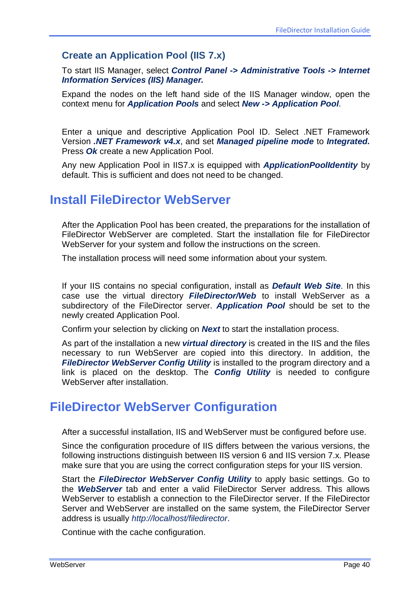### **Create an Application Pool (IIS 7.x)**

To start IIS Manager, select *Control Panel -> Administrative Tools -> Internet Information Services (IIS) Manager.*

Expand the nodes on the left hand side of the IIS Manager window, open the context menu for *Application Pools* and select *New -> Application Pool*.

Enter a unique and descriptive Application Pool ID. Select .NET Framework Version *.NET Framework v4.x*, and set *Managed pipeline mode* to *Integrated.* Press *Ok* create a new Application Pool.

Any new Application Pool in IIS7.x is equipped with *ApplicationPoolIdentity* by default. This is sufficient and does not need to be changed.

# **Install FileDirector WebServer**

After the Application Pool has been created, the preparations for the installation of FileDirector WebServer are completed. Start the installation file for FileDirector WebServer for your system and follow the instructions on the screen.

The installation process will need some information about your system.

If your IIS contains no special configuration, install as *Default Web Site*. In this case use the virtual directory *FileDirector/Web* to install WebServer as a subdirectory of the FileDirector server. *Application Pool* should be set to the newly created Application Pool.

Confirm your selection by clicking on *Next* to start the installation process.

As part of the installation a new *virtual directory* is created in the IIS and the files necessary to run WebServer are copied into this directory. In addition, the *FileDirector WebServer Config Utility* is installed to the program directory and a link is placed on the desktop. The *Config Utility* is needed to configure WebServer after installation.

# **FileDirector WebServer Configuration**

After a successful installation, IIS and WebServer must be configured before use.

Since the configuration procedure of IIS differs between the various versions, the following instructions distinguish between IIS version 6 and IIS version 7.x. Please make sure that you are using the correct configuration steps for your IIS version.

Start the *FileDirector WebServer Config Utility* to apply basic settings. Go to the *WebServer* tab and enter a valid FileDirector Server address. This allows WebServer to establish a connection to the FileDirector server. If the FileDirector Server and WebServer are installed on the same system, the FileDirector Server address is usually *http://localhost/filedirector*.

Continue with the cache configuration.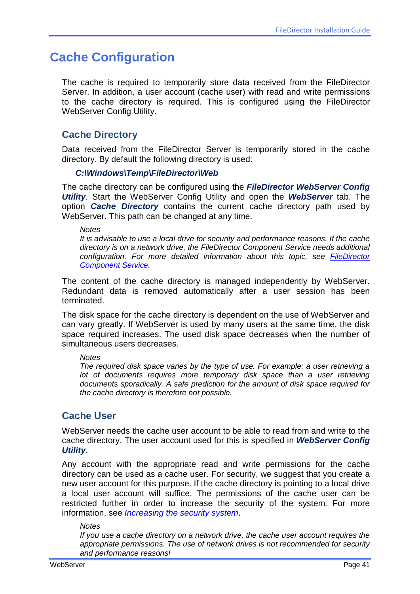# <span id="page-40-0"></span>**Cache Configuration**

The cache is required to temporarily store data received from the FileDirector Server. In addition, a user account (cache user) with read and write permissions to the cache directory is required. This is configured using the FileDirector WebServer Config Utility.

### **Cache Directory**

Data received from the FileDirector Server is temporarily stored in the cache directory. By default the following directory is used:

#### *C:\Windows\Temp\FileDirector\Web*

The cache directory can be configured using the *FileDirector WebServer Config Utility*. Start the WebServer Config Utility and open the *WebServer* tab. The option *Cache Directory* contains the current cache directory path used by WebServer. This path can be changed at any time.

*Notes*

*It is advisable to use a local drive for security and performance reasons. If the cache directory is on a network drive, the FileDirector Component Service needs additional configuration. For more detailed information about this topic, see FileDirector Component Service.*

The content of the cache directory is managed independently by WebServer. Redundant data is removed automatically after a user session has been terminated.

The disk space for the cache directory is dependent on the use of WebServer and can vary greatly. If WebServer is used by many users at the same time, the disk space required increases. The used disk space decreases when the number of simultaneous users decreases.

#### *Notes*

*The required disk space varies by the type of use. For example: a user retrieving a*  lot of documents requires more temporary disk space than a user retrieving *documents sporadically. A safe prediction for the amount of disk space required for the cache directory is therefore not possible.*

### **Cache User**

WebServer needs the cache user account to be able to read from and write to the cache directory. The user account used for this is specified in *WebServer Config Utility*.

Any account with the appropriate read and write permissions for the cache directory can be used as a cache user. For security, we suggest that you create a new user account for this purpose. If the cache directory is pointing to a local drive a local user account will suffice. The permissions of the cache user can be restricted further in order to increase the security of the system. For more information, see *[Increasing the security system](#page-44-0)*.

#### *Notes*

*If you use a cache directory on a network drive, the cache user account requires the appropriate permissions. The use of network drives is not recommended for security and performance reasons!*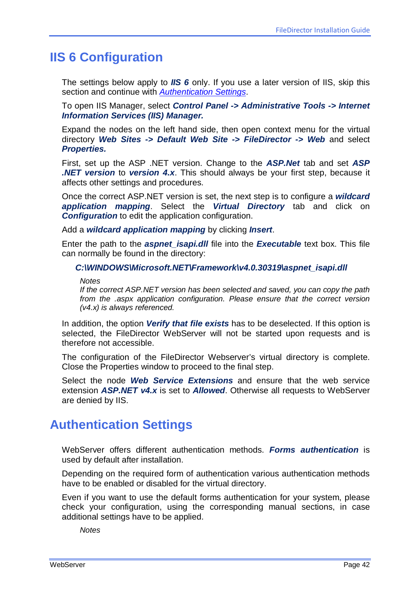# **IIS 6 Configuration**

The settings below apply to *IIS 6* only. If you use a later version of IIS, skip this section and continue with *Authentication Settings*.

To open IIS Manager, select *Control Panel -> Administrative Tools -> Internet Information Services (IIS) Manager.*

Expand the nodes on the left hand side, then open context menu for the virtual directory *Web Sites -> Default Web Site -> FileDirector -> Web* and select *Properties.*

First, set up the ASP .NET version. Change to the *ASP.Net* tab and set *ASP .NET version* to *version 4.x*. This should always be your first step, because it affects other settings and procedures.

Once the correct ASP.NET version is set, the next step is to configure a *wildcard application mapping*. Select the *Virtual Directory* tab and click on *Configuration* to edit the application configuration.

Add a *wildcard application mapping* by clicking *Insert*.

Enter the path to the *aspnet isapi.dll* file into the *Executable* text box. This file can normally be found in the directory:

#### *C:\WINDOWS\Microsoft.NET\Framework\v4.0.30319\aspnet\_isapi.dll*

*Notes*

*If the correct ASP.NET version has been selected and saved, you can copy the path from the .aspx application configuration. Please ensure that the correct version (v4.x) is always referenced.*

In addition, the option *Verify that file exists* has to be deselected. If this option is selected, the FileDirector WebServer will not be started upon requests and is therefore not accessible.

The configuration of the FileDirector Webserver's virtual directory is complete. Close the Properties window to proceed to the final step.

Select the node *Web Service Extensions* and ensure that the web service extension *ASP.NET v4.x* is set to *Allowed*. Otherwise all requests to WebServer are denied by IIS.

# **Authentication Settings**

WebServer offers different authentication methods. *Forms authentication* is used by default after installation.

Depending on the required form of authentication various authentication methods have to be enabled or disabled for the virtual directory.

Even if you want to use the default forms authentication for your system, please check your configuration, using the corresponding manual sections, in case additional settings have to be applied.

*Notes*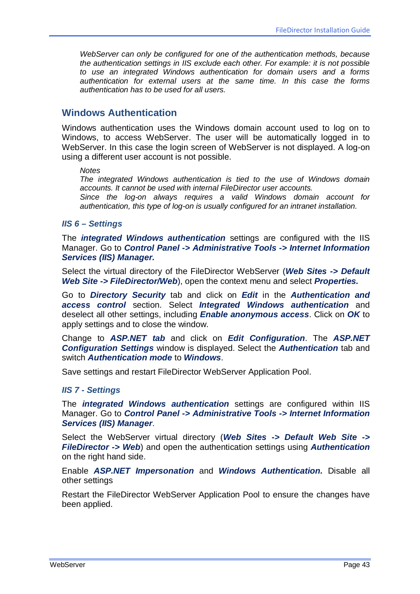*WebServer can only be configured for one of the authentication methods, because the authentication settings in IIS exclude each other. For example: it is not possible to use an integrated Windows authentication for domain users and a forms authentication for external users at the same time. In this case the forms authentication has to be used for all users.*

#### **Windows Authentication**

Windows authentication uses the Windows domain account used to log on to Windows, to access WebServer. The user will be automatically logged in to WebServer. In this case the login screen of WebServer is not displayed. A log-on using a different user account is not possible.

*Notes*

*The integrated Windows authentication is tied to the use of Windows domain accounts. It cannot be used with internal FileDirector user accounts.*

*Since the log-on always requires a valid Windows domain account for authentication, this type of log-on is usually configured for an intranet installation.*

#### *IIS 6 – Settings*

The *integrated Windows authentication* settings are configured with the IIS Manager. Go to *Control Panel -> Administrative Tools -> Internet Information Services (IIS) Manager.*

Select the virtual directory of the FileDirector WebServer (*Web Sites -> Default Web Site -> FileDirector/Web*), open the context menu and select *Properties.*

Go to *Directory Security* tab and click on *Edit* in the *Authentication and access control* section. Select *Integrated Windows authentication* and deselect all other settings, including *Enable anonymous access*. Click on *OK* to apply settings and to close the window.

Change to *ASP.NET tab* and click on *Edit Configuration*. The *ASP.NET Configuration Settings* window is displayed. Select the *Authentication* tab and switch *Authentication mode* to *Windows*.

Save settings and restart FileDirector WebServer Application Pool.

#### *IIS 7 - Settings*

The *integrated Windows authentication* settings are configured within IIS Manager. Go to *Control Panel -> Administrative Tools -> Internet Information Services (IIS) Manager*.

Select the WebServer virtual directory (*Web Sites -> Default Web Site -> FileDirector -> Web*) and open the authentication settings using *Authentication* on the right hand side.

Enable *ASP.NET Impersonation* and *Windows Authentication.* Disable all other settings

<span id="page-42-0"></span>Restart the FileDirector WebServer Application Pool to ensure the changes have been applied.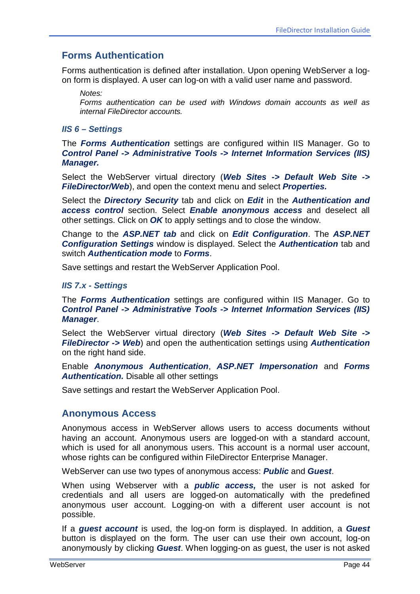## **Forms Authentication**

Forms authentication is defined after installation. Upon opening WebServer a logon form is displayed. A user can log-on with a valid user name and password.

*Notes: Forms authentication can be used with Windows domain accounts as well as internal FileDirector accounts.*

#### *IIS 6 – Settings*

The *Forms Authentication* settings are configured within IIS Manager. Go to *Control Panel -> Administrative Tools -> Internet Information Services (IIS) Manager.*

Select the WebServer virtual directory (*Web Sites -> Default Web Site -> FileDirector/Web*), and open the context menu and select *Properties.*

Select the *Directory Security* tab and click on *Edit* in the *Authentication and access control* section. Select *Enable anonymous access* and deselect all other settings. Click on *OK* to apply settings and to close the window.

Change to the *ASP.NET tab* and click on *Edit Configuration*. The *ASP.NET Configuration Settings* window is displayed. Select the *Authentication* tab and switch *Authentication mode* to *Forms*.

Save settings and restart the WebServer Application Pool.

#### *IIS 7.x - Settings*

The *Forms Authentication* settings are configured within IIS Manager. Go to *Control Panel -> Administrative Tools -> Internet Information Services (IIS) Manager*.

Select the WebServer virtual directory (*Web Sites -> Default Web Site -> FileDirector -> Web*) and open the authentication settings using *Authentication* on the right hand side.

Enable *Anonymous Authentication*, *ASP.NET Impersonation* and *Forms Authentication.* Disable all other settings

Save settings and restart the WebServer Application Pool.

#### **Anonymous Access**

Anonymous access in WebServer allows users to access documents without having an account. Anonymous users are logged-on with a standard account, which is used for all anonymous users. This account is a normal user account, whose rights can be configured within FileDirector Enterprise Manager.

WebServer can use two types of anonymous access: *Public* and *Guest*.

When using Webserver with a *public access,* the user is not asked for credentials and all users are logged-on automatically with the predefined anonymous user account. Logging-on with a different user account is not possible.

If a *guest account* is used, the log-on form is displayed. In addition, a *Guest* button is displayed on the form. The user can use their own account, log-on anonymously by clicking *Guest*. When logging-on as guest, the user is not asked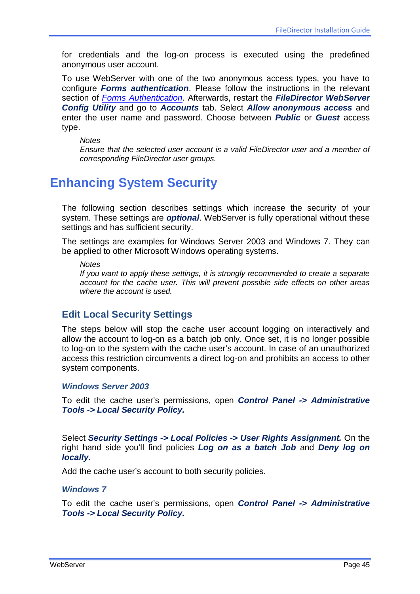for credentials and the log-on process is executed using the predefined anonymous user account.

To use WebServer with one of the two anonymous access types, you have to configure *Forms authentication*. Please follow the instructions in the relevant section of *[Forms Authentication](#page-42-0)*. Afterwards, restart the *FileDirector WebServer Config Utility* and go to *Accounts* tab. Select *Allow anonymous access* and enter the user name and password. Choose between *Public* or *Guest* access type.

*Notes*

*Ensure that the selected user account is a valid FileDirector user and a member of corresponding FileDirector user groups.*

# <span id="page-44-0"></span>**Enhancing System Security**

The following section describes settings which increase the security of your system. These settings are *optional*. WebServer is fully operational without these settings and has sufficient security.

The settings are examples for Windows Server 2003 and Windows 7. They can be applied to other Microsoft Windows operating systems.

*Notes*

*If you want to apply these settings, it is strongly recommended to create a separate account for the cache user. This will prevent possible side effects on other areas where the account is used.*

### **Edit Local Security Settings**

The steps below will stop the cache user account logging on interactively and allow the account to log-on as a batch job only. Once set, it is no longer possible to log-on to the system with the cache user's account. In case of an unauthorized access this restriction circumvents a direct log-on and prohibits an access to other system components.

#### *Windows Server 2003*

To edit the cache user's permissions, open *Control Panel -> Administrative Tools -> Local Security Policy.*

Select *Security Settings -> Local Policies -> User Rights Assignment.* On the right hand side you'll find policies *Log on as a batch Job* and *Deny log on locally.*

Add the cache user's account to both security policies.

#### *Windows 7*

To edit the cache user's permissions, open *Control Panel -> Administrative Tools -> Local Security Policy.*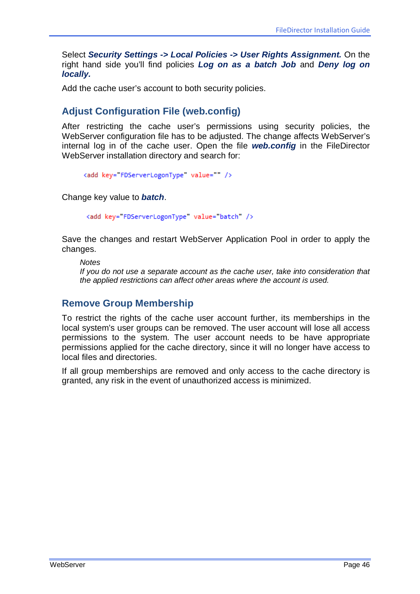Select *Security Settings -> Local Policies -> User Rights Assignment.* On the right hand side you'll find policies *Log on as a batch Job* and *Deny log on locally.*

Add the cache user's account to both security policies.

## **Adjust Configuration File (web.config)**

After restricting the cache user's permissions using security policies, the WebServer configuration file has to be adjusted. The change affects WebServer's internal log in of the cache user. Open the file *web.config* in the FileDirector WebServer installation directory and search for:

```
<add key="FDServerLogonType" value="" />
```
Change key value to *batch*.

<add key="FDServerLogonType" value="batch" />

Save the changes and restart WebServer Application Pool in order to apply the changes.

*Notes If you do not use a separate account as the cache user, take into consideration that the applied restrictions can affect other areas where the account is used.*

### **Remove Group Membership**

To restrict the rights of the cache user account further, its memberships in the local system's user groups can be removed. The user account will lose all access permissions to the system. The user account needs to be have appropriate permissions applied for the cache directory, since it will no longer have access to local files and directories.

If all group memberships are removed and only access to the cache directory is granted, any risk in the event of unauthorized access is minimized.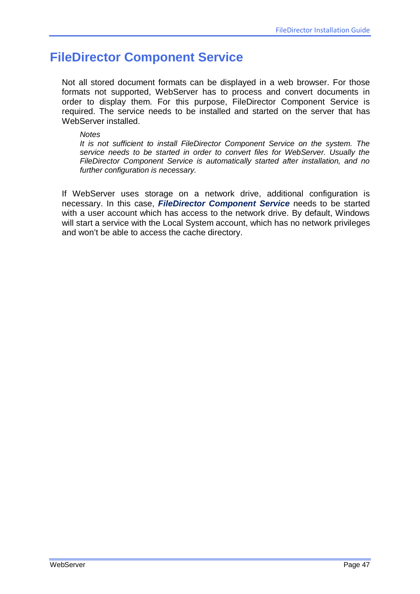# **FileDirector Component Service**

Not all stored document formats can be displayed in a web browser. For those formats not supported, WebServer has to process and convert documents in order to display them. For this purpose, FileDirector Component Service is required. The service needs to be installed and started on the server that has WebServer installed.

#### *Notes*

*It is not sufficient to install FileDirector Component Service on the system. The service needs to be started in order to convert files for WebServer. Usually the FileDirector Component Service is automatically started after installation, and no further configuration is necessary.*

If WebServer uses storage on a network drive, additional configuration is necessary. In this case, *FileDirector Component Service* needs to be started with a user account which has access to the network drive. By default, Windows will start a service with the Local System account, which has no network privileges and won't be able to access the cache directory.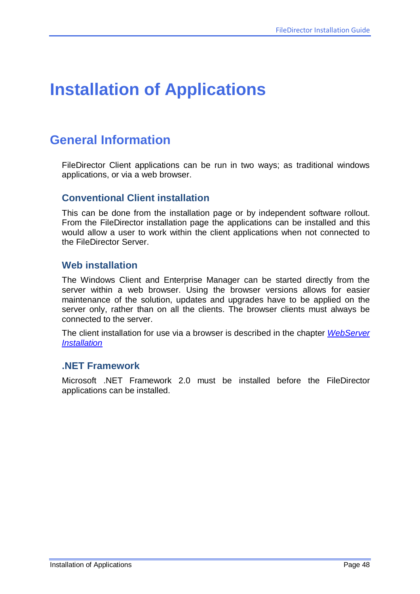# **Installation of Applications**

# **General Information**

FileDirector Client applications can be run in two ways; as traditional windows applications, or via a web browser.

### **Conventional Client installation**

This can be done from the installation page or by independent software rollout. From the FileDirector installation page the applications can be installed and this would allow a user to work within the client applications when not connected to the FileDirector Server.

### **Web installation**

The Windows Client and Enterprise Manager can be started directly from the server within a web browser. Using the browser versions allows for easier maintenance of the solution, updates and upgrades have to be applied on the server only, rather than on all the clients. The browser clients must always be connected to the server.

The client installation for use via a browser is described in the chapter *[WebServer](#page-37-0) [Installation](#page-37-0)*

### **.NET Framework**

Microsoft .NET Framework 2.0 must be installed before the FileDirector applications can be installed.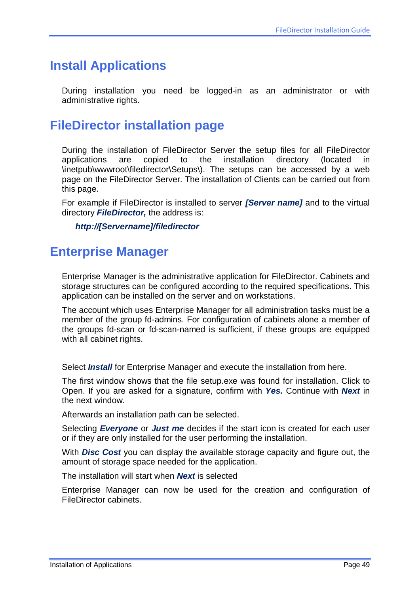# **Install Applications**

During installation you need be logged-in as an administrator or with administrative rights.

# **FileDirector installation page**

During the installation of FileDirector Server the setup files for all FileDirector applications are copied to the installation directory (located in \inetpub\wwwroot\filedirector\Setups\). The setups can be accessed by a web page on the FileDirector Server. The installation of Clients can be carried out from this page.

For example if FileDirector is installed to server *[Server name]* and to the virtual directory *FileDirector,* the address is:

*http://[Servername]/filedirector*

# <span id="page-48-0"></span>**Enterprise Manager**

Enterprise Manager is the administrative application for FileDirector. Cabinets and storage structures can be configured according to the required specifications. This application can be installed on the server and on workstations.

The account which uses Enterprise Manager for all administration tasks must be a member of the group fd-admins. For configuration of cabinets alone a member of the groups fd-scan or fd-scan-named is sufficient, if these groups are equipped with all cabinet rights.

Select *Install* for Enterprise Manager and execute the installation from here.

The first window shows that the file setup.exe was found for installation. Click to Open. If you are asked for a signature, confirm with *Yes.* Continue with *Next* in the next window.

Afterwards an installation path can be selected.

Selecting *Everyone* or *Just me* decides if the start icon is created for each user or if they are only installed for the user performing the installation.

With *Disc Cost* you can display the available storage capacity and figure out, the amount of storage space needed for the application.

The installation will start when *Next* is selected

Enterprise Manager can now be used for the creation and configuration of FileDirector cabinets.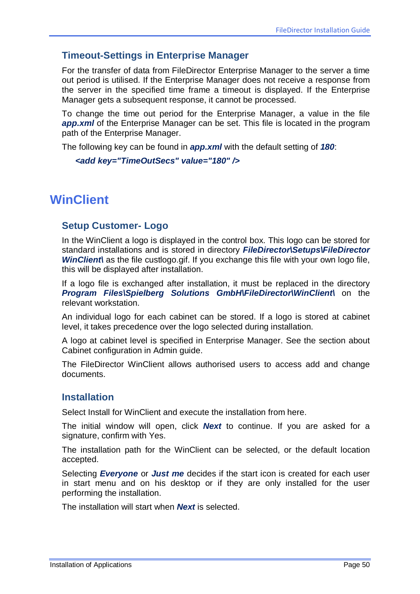### **Timeout-Settings in Enterprise Manager**

For the transfer of data from FileDirector Enterprise Manager to the server a time out period is utilised. If the Enterprise Manager does not receive a response from the server in the specified time frame a timeout is displayed. If the Enterprise Manager gets a subsequent response, it cannot be processed.

To change the time out period for the Enterprise Manager, a value in the file **app.xml** of the Enterprise Manager can be set. This file is located in the program path of the Enterprise Manager.

The following key can be found in *app.xml* with the default setting of *180*:

*<add key="TimeOutSecs" value="180" />*

# **WinClient**

### **Setup Customer- Logo**

In the WinClient a logo is displayed in the control box. This logo can be stored for standard installations and is stored in directory *FileDirector\Setups\FileDirector WinClient* as the file custlogo.gif. If you exchange this file with your own logo file, this will be displayed after installation.

If a logo file is exchanged after installation, it must be replaced in the directory *Program Files\Spielberg Solutions GmbH\FileDirector\WinClient\* on the relevant workstation.

An individual logo for each cabinet can be stored. If a logo is stored at cabinet level, it takes precedence over the logo selected during installation.

A logo at cabinet level is specified in Enterprise Manager. See the section about Cabinet configuration in Admin guide.

The FileDirector WinClient allows authorised users to access add and change documents.

#### **Installation**

Select Install for WinClient and execute the installation from here.

The initial window will open, click *Next* to continue. If you are asked for a signature, confirm with Yes.

The installation path for the WinClient can be selected, or the default location accepted.

Selecting *Everyone* or *Just me* decides if the start icon is created for each user in start menu and on his desktop or if they are only installed for the user performing the installation.

The installation will start when *Next* is selected.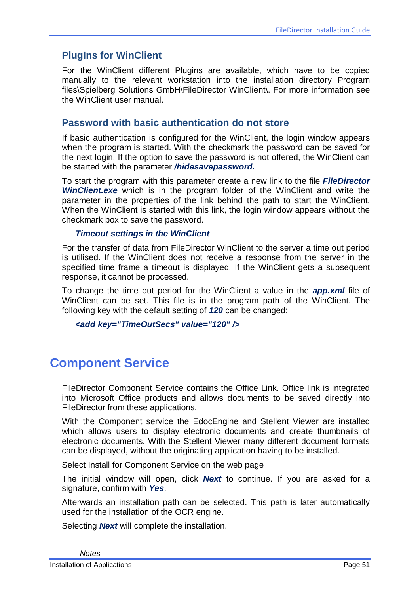## **PlugIns for WinClient**

For the WinClient different Plugins are available, which have to be copied manually to the relevant workstation into the installation directory Program files\Spielberg Solutions GmbH\FileDirector WinClient\. For more information see the WinClient user manual.

### **Password with basic authentication do not store**

If basic authentication is configured for the WinClient, the login window appears when the program is started. With the checkmark the password can be saved for the next login. If the option to save the password is not offered, the WinClient can be started with the parameter */hidesavepassword.*

To start the program with this parameter create a new link to the file *FileDirector WinClient.exe* which is in the program folder of the WinClient and write the parameter in the properties of the link behind the path to start the WinClient. When the WinClient is started with this link, the login window appears without the checkmark box to save the password.

#### *Timeout settings in the WinClient*

For the transfer of data from FileDirector WinClient to the server a time out period is utilised. If the WinClient does not receive a response from the server in the specified time frame a timeout is displayed. If the WinClient gets a subsequent response, it cannot be processed.

To change the time out period for the WinClient a value in the *app.xml* file of WinClient can be set. This file is in the program path of the WinClient. The following key with the default setting of *120* can be changed:

```
<add key="TimeOutSecs" value="120" />
```
# **Component Service**

FileDirector Component Service contains the Office Link. Office link is integrated into Microsoft Office products and allows documents to be saved directly into FileDirector from these applications.

With the Component service the EdocEngine and Stellent Viewer are installed which allows users to display electronic documents and create thumbnails of electronic documents. With the Stellent Viewer many different document formats can be displayed, without the originating application having to be installed.

Select Install for Component Service on the web page

The initial window will open, click *Next* to continue. If you are asked for a signature, confirm with *Yes*.

Afterwards an installation path can be selected. This path is later automatically used for the installation of the OCR engine.

Selecting *Next* will complete the installation.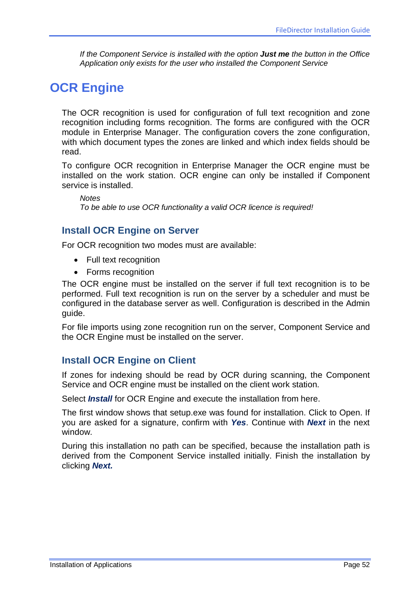*If the Component Service is installed with the option Just me the button in the Office Application only exists for the user who installed the Component Service*

# **OCR Engine**

The OCR recognition is used for configuration of full text recognition and zone recognition including forms recognition. The forms are configured with the OCR module in Enterprise Manager. The configuration covers the zone configuration, with which document types the zones are linked and which index fields should be read.

To configure OCR recognition in Enterprise Manager the OCR engine must be installed on the work station. OCR engine can only be installed if Component service is installed.

*Notes To be able to use OCR functionality a valid OCR licence is required!*

### **Install OCR Engine on Server**

For OCR recognition two modes must are available:

- Full text recognition
- Forms recognition

The OCR engine must be installed on the server if full text recognition is to be performed. Full text recognition is run on the server by a scheduler and must be configured in the database server as well. Configuration is described in the Admin guide.

For file imports using zone recognition run on the server, Component Service and the OCR Engine must be installed on the server.

## **Install OCR Engine on Client**

If zones for indexing should be read by OCR during scanning, the Component Service and OCR engine must be installed on the client work station.

Select *Install* for OCR Engine and execute the installation from here.

The first window shows that setup.exe was found for installation. Click to Open. If you are asked for a signature, confirm with *Yes*. Continue with *Next* in the next window.

During this installation no path can be specified, because the installation path is derived from the Component Service installed initially. Finish the installation by clicking *Next.*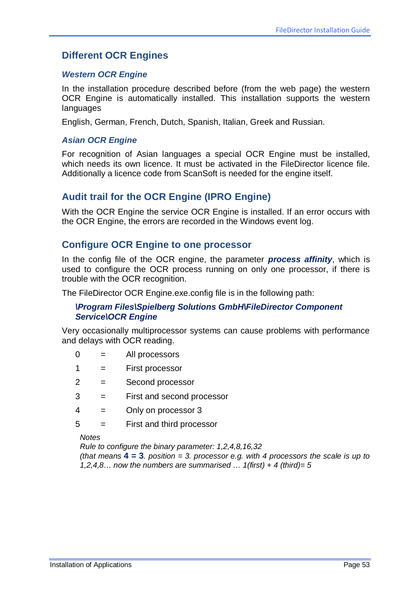### **Different OCR Engines**

#### *Western OCR Engine*

In the installation procedure described before (from the web page) the western OCR Engine is automatically installed. This installation supports the western languages

English, German, French, Dutch, Spanish, Italian, Greek and Russian.

#### *Asian OCR Engine*

For recognition of Asian languages a special OCR Engine must be installed, which needs its own licence. It must be activated in the FileDirector licence file. Additionally a licence code from ScanSoft is needed for the engine itself.

### **Audit trail for the OCR Engine (IPRO Engine)**

With the OCR Engine the service OCR Engine is installed. If an error occurs with the OCR Engine, the errors are recorded in the Windows event log.

#### **Configure OCR Engine to one processor**

In the config file of the OCR engine, the parameter *process affinity*, which is used to configure the OCR process running on only one processor, if there is trouble with the OCR recognition.

The FileDirector OCR Engine.exe.config file is in the following path:

#### *\Program Files\Spielberg Solutions GmbH\FileDirector Component Service\OCR Engine*

Very occasionally multiprocessor systems can cause problems with performance and delays with OCR reading.

- $0 =$  All processors
- 1 = First processor
- 2 = Second processor
- 3 = First and second processor
- 4 = Only on processor 3
- 5 = First and third processor

*Notes*

*Rule to configure the binary parameter: 1,2,4,8,16,32*

*(that means* **4 = 3***. position = 3. processor e.g. with 4 processors the scale is up to 1,2,4,8… now the numbers are summarised … 1(first) + 4 (third)= 5*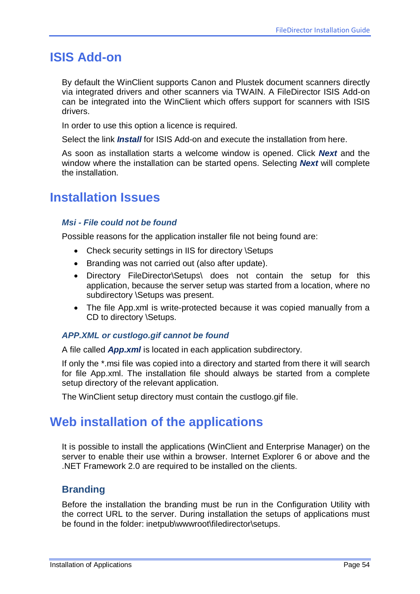# **ISIS Add-on**

By default the WinClient supports Canon and Plustek document scanners directly via integrated drivers and other scanners via TWAIN. A FileDirector ISIS Add-on can be integrated into the WinClient which offers support for scanners with ISIS drivers.

In order to use this option a licence is required.

Select the link *Install* for ISIS Add-on and execute the installation from here.

As soon as installation starts a welcome window is opened. Click *Next* and the window where the installation can be started opens. Selecting *Next* will complete the installation.

# **Installation Issues**

#### *Msi - File could not be found*

Possible reasons for the application installer file not being found are:

- Check security settings in IIS for directory \Setups
- Branding was not carried out (also after update).
- Directory FileDirector\Setups\ does not contain the setup for this application, because the server setup was started from a location, where no subdirectory \Setups was present.
- The file App.xml is write-protected because it was copied manually from a CD to directory \Setups.

#### *APP.XML or custlogo.gif cannot be found*

A file called *App.xml* is located in each application subdirectory.

If only the \*.msi file was copied into a directory and started from there it will search for file App.xml. The installation file should always be started from a complete setup directory of the relevant application.

The WinClient setup directory must contain the custlogo.gif file.

# **Web installation of the applications**

It is possible to install the applications (WinClient and Enterprise Manager) on the server to enable their use within a browser. Internet Explorer 6 or above and the .NET Framework 2.0 are required to be installed on the clients.

### **Branding**

Before the installation the branding must be run in the Configuration Utility with the correct URL to the server. During installation the setups of applications must be found in the folder: inetpub\wwwroot\filedirector\setups.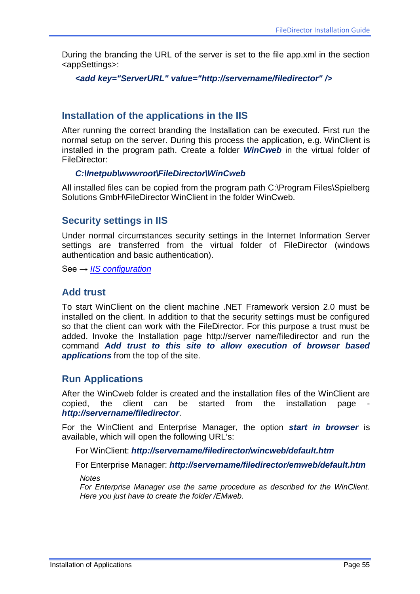During the branding the URL of the server is set to the file app.xml in the section <appSettings>:

*<add key="ServerURL" value="http://servername/filedirector" />*

### **Installation of the applications in the IIS**

After running the correct branding the Installation can be executed. First run the normal setup on the server. During this process the application, e.g. WinClient is installed in the program path. Create a folder *WinCweb* in the virtual folder of FileDirector:

#### *C:\Inetpub\wwwroot\FileDirector\WinCweb*

All installed files can be copied from the program path C:\Program Files\Spielberg Solutions GmbH\FileDirector WinClient in the folder WinCweb.

#### **Security settings in IIS**

Under normal circumstances security settings in the Internet Information Server settings are transferred from the virtual folder of FileDirector (windows authentication and basic authentication).

See → *[IIS configuration](#page-23-0)*

### **Add trust**

To start WinClient on the client machine .NET Framework version 2.0 must be installed on the client. In addition to that the security settings must be configured so that the client can work with the FileDirector. For this purpose a trust must be added. Invoke the Installation page http://server name/filedirector and run the command *Add trust to this site to allow execution of browser based applications* from the top of the site.

#### **Run Applications**

After the WinCweb folder is created and the installation files of the WinClient are copied, the client can be started from the installation page *http://servername/filedirector*.

For the WinClient and Enterprise Manager, the option *start in browser* is available, which will open the following URL's:

For WinClient: *http://servername/filedirector/wincweb/default.htm*

For Enterprise Manager: *http://servername/filedirector/emweb/default.htm*

*Notes*

*For Enterprise Manager use the same procedure as described for the WinClient. Here you just have to create the folder /EMweb.*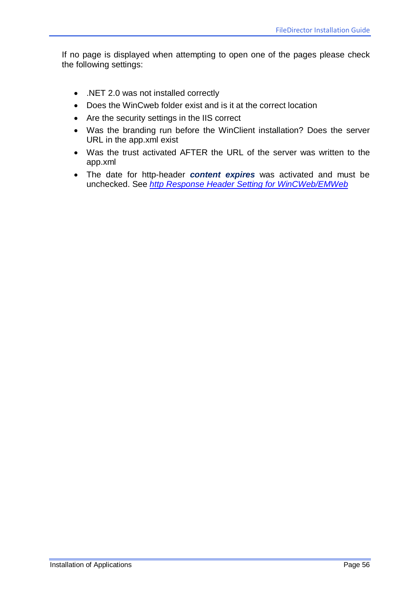If no page is displayed when attempting to open one of the pages please check the following settings:

- .NET 2.0 was not installed correctly
- Does the WinCweb folder exist and is it at the correct location
- Are the security settings in the IIS correct
- Was the branding run before the WinClient installation? Does the server URL in the app.xml exist
- Was the trust activated AFTER the URL of the server was written to the app.xml
- The date for http-header *content expires* was activated and must be unchecked. See *[http Response Header Setting for WinCWeb/EMWeb](#page-24-0)*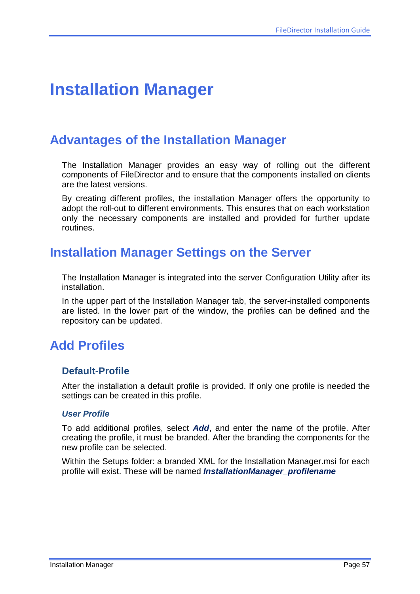# **Installation Manager**

# **Advantages of the Installation Manager**

The Installation Manager provides an easy way of rolling out the different components of FileDirector and to ensure that the components installed on clients are the latest versions.

By creating different profiles, the installation Manager offers the opportunity to adopt the roll-out to different environments. This ensures that on each workstation only the necessary components are installed and provided for further update routines.

# **Installation Manager Settings on the Server**

The Installation Manager is integrated into the server Configuration Utility after its installation.

In the upper part of the Installation Manager tab, the server-installed components are listed. In the lower part of the window, the profiles can be defined and the repository can be updated.

# **Add Profiles**

#### **Default-Profile**

After the installation a default profile is provided. If only one profile is needed the settings can be created in this profile.

#### *User Profile*

To add additional profiles, select *Add*, and enter the name of the profile. After creating the profile, it must be branded. After the branding the components for the new profile can be selected.

Within the Setups folder: a branded XML for the Installation Manager.msi for each profile will exist. These will be named *InstallationManager\_profilename*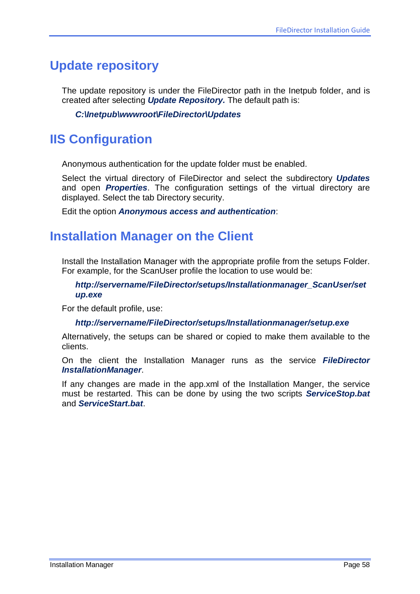# **Update repository**

The update repository is under the FileDirector path in the Inetpub folder, and is created after selecting *Update Repository.* The default path is:

#### *C:\Inetpub\wwwroot\FileDirector\Updates*

# **IIS Configuration**

Anonymous authentication for the update folder must be enabled.

Select the virtual directory of FileDirector and select the subdirectory *Updates* and open *Properties*. The configuration settings of the virtual directory are displayed. Select the tab Directory security.

Edit the option *Anonymous access and authentication*:

# **Installation Manager on the Client**

Install the Installation Manager with the appropriate profile from the setups Folder. For example, for the ScanUser profile the location to use would be:

#### *http://servername/FileDirector/setups/Installationmanager\_ScanUser/set up.exe*

For the default profile, use:

#### *http://servername/FileDirector/setups/Installationmanager/setup.exe*

Alternatively, the setups can be shared or copied to make them available to the clients.

On the client the Installation Manager runs as the service *FileDirector InstallationManager*.

If any changes are made in the app.xml of the Installation Manger, the service must be restarted. This can be done by using the two scripts *ServiceStop.bat* and *ServiceStart.bat*.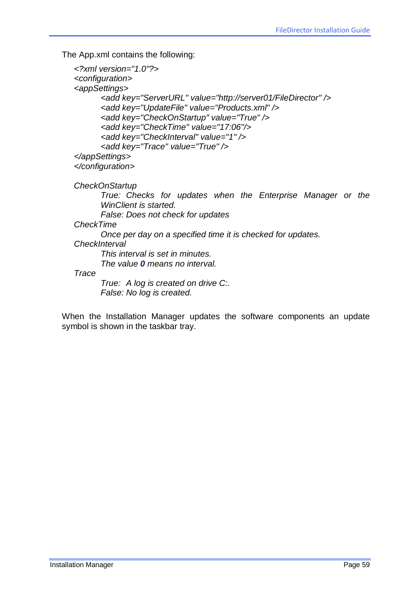The App.xml contains the following:

```
<?xml version="1.0"?>
<configuration>
<appSettings>
      <add key="ServerURL" value="http://server01/FileDirector" />
      <add key="UpdateFile" value="Products.xml" />
      <add key="CheckOnStartup" value="True" />
      <add key="CheckTime" value="17:06"/>
      <add key="CheckInterval" value="1" />
      <add key="Trace" value="True" />
</appSettings>
</configuration>
CheckOnStartup
       True: Checks for updates when the Enterprise Manager or the 
      WinClient is started.
      False: Does not check for updates
CheckTime
      Once per day on a specified time it is checked for updates.
CheckInterval
      This interval is set in minutes.
      The value 0 means no interval.
Trace
      True: A log is created on drive C:.
      False: No log is created.
```
When the Installation Manager updates the software components an update symbol is shown in the taskbar tray.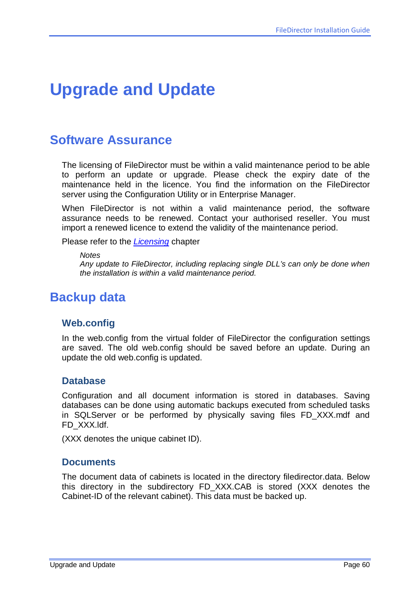# **Upgrade and Update**

# **Software Assurance**

The licensing of FileDirector must be within a valid maintenance period to be able to perform an update or upgrade. Please check the expiry date of the maintenance held in the licence. You find the information on the FileDirector server using the Configuration Utility or in Enterprise Manager.

When FileDirector is not within a valid maintenance period, the software assurance needs to be renewed. Contact your authorised reseller. You must import a renewed licence to extend the validity of the maintenance period.

Please refer to the *[Licensing](#page-14-0)* chapter

*Notes*

*Any update to FileDirector, including replacing single DLL's can only be done when the installation is within a valid maintenance period.*

# **Backup data**

#### **Web.config**

In the web.config from the virtual folder of FileDirector the configuration settings are saved. The old web.config should be saved before an update. During an update the old web.config is updated.

#### **Database**

Configuration and all document information is stored in databases. Saving databases can be done using automatic backups executed from scheduled tasks in SQLServer or be performed by physically saving files FD\_XXX.mdf and FD\_XXX.ldf.

(XXX denotes the unique cabinet ID).

#### **Documents**

The document data of cabinets is located in the directory filedirector.data. Below this directory in the subdirectory FD\_XXX.CAB is stored (XXX denotes the Cabinet-ID of the relevant cabinet). This data must be backed up.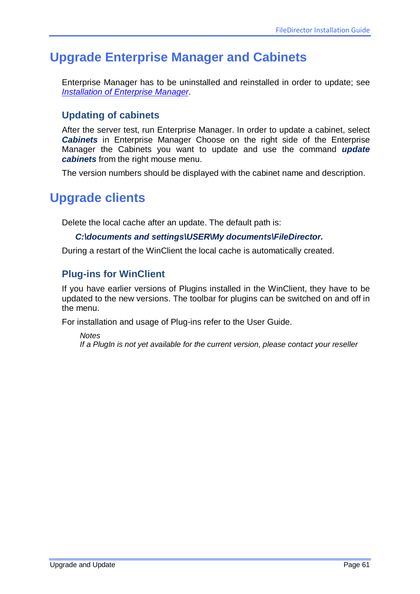# **Upgrade Enterprise Manager and Cabinets**

Enterprise Manager has to be uninstalled and reinstalled in order to update; see *[Installation of Enterprise Manager](#page-48-0)*.

# **Updating of cabinets**

After the server test, run Enterprise Manager. In order to update a cabinet, select *Cabinets* in Enterprise Manager Choose on the right side of the Enterprise Manager the Cabinets you want to update and use the command *update cabinets* from the right mouse menu.

The version numbers should be displayed with the cabinet name and description.

# **Upgrade clients**

Delete the local cache after an update. The default path is:

#### *C:\documents and settings\USER\My documents\FileDirector.*

During a restart of the WinClient the local cache is automatically created.

### **Plug-ins for WinClient**

If you have earlier versions of Plugins installed in the WinClient, they have to be updated to the new versions. The toolbar for plugins can be switched on and off in the menu.

For installation and usage of Plug-ins refer to the User Guide.

*Notes If a PlugIn is not yet available for the current version, please contact your reseller*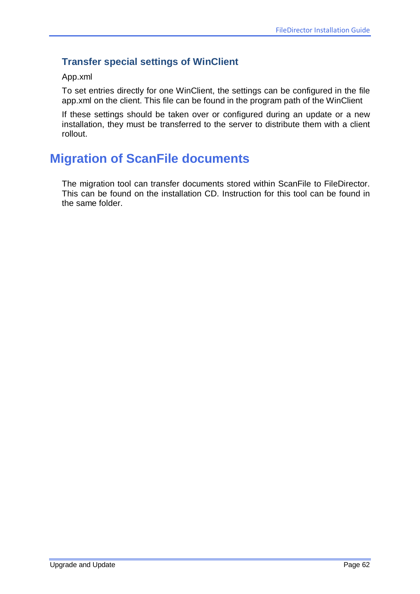# **Transfer special settings of WinClient**

#### App.xml

To set entries directly for one WinClient, the settings can be configured in the file app.xml on the client. This file can be found in the program path of the WinClient

If these settings should be taken over or configured during an update or a new installation, they must be transferred to the server to distribute them with a client rollout.

# **Migration of ScanFile documents**

The migration tool can transfer documents stored within ScanFile to FileDirector. This can be found on the installation CD. Instruction for this tool can be found in the same folder.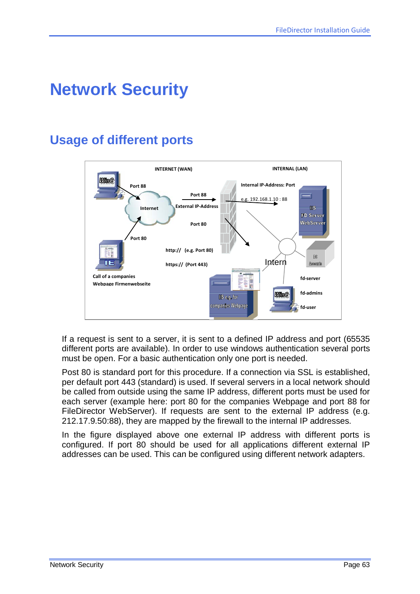# **Network Security**

# **Usage of different ports**



If a request is sent to a server, it is sent to a defined IP address and port (65535 different ports are available). In order to use windows authentication several ports must be open. For a basic authentication only one port is needed.

Post 80 is standard port for this procedure. If a connection via SSL is established, per default port 443 (standard) is used. If several servers in a local network should be called from outside using the same IP address, different ports must be used for each server (example here: port 80 for the companies Webpage and port 88 for FileDirector WebServer). If requests are sent to the external IP address (e.g. 212.17.9.50:88), they are mapped by the firewall to the internal IP addresses.

In the figure displayed above one external IP address with different ports is configured. If port 80 should be used for all applications different external IP addresses can be used. This can be configured using different network adapters.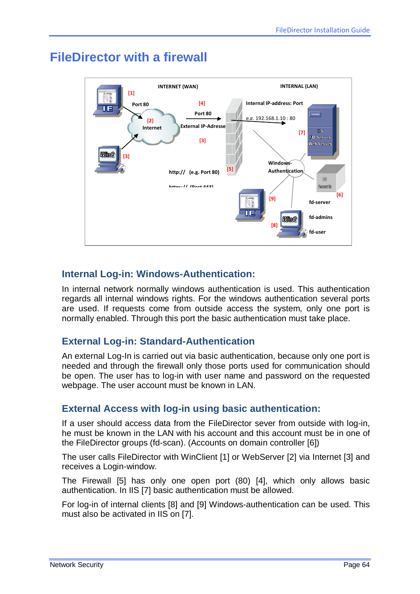

# **FileDirector with a firewall**

## **Internal Log-in: Windows-Authentication:**

In internal network normally windows authentication is used. This authentication regards all internal windows rights. For the windows authentication several ports are used. If requests come from outside access the system, only one port is normally enabled. Through this port the basic authentication must take place.

## **External Log-in: Standard-Authentication**

An external Log-In is carried out via basic authentication, because only one port is needed and through the firewall only those ports used for communication should be open. The user has to log-in with user name and password on the requested webpage. The user account must be known in LAN.

## **External Access with log-in using basic authentication:**

If a user should access data from the FileDirector sever from outside with log-in, he must be known in the LAN with his account and this account must be in one of the FileDirector groups (fd-scan). (Accounts on domain controller [6])

The user calls FileDirector with WinClient [1] or WebServer [2] via Internet [3] and receives a Login-window.

The Firewall [5] has only one open port (80) [4], which only allows basic authentication. In IIS [7] basic authentication must be allowed.

For log-in of internal clients [8] and [9] Windows-authentication can be used. This must also be activated in IIS on [7].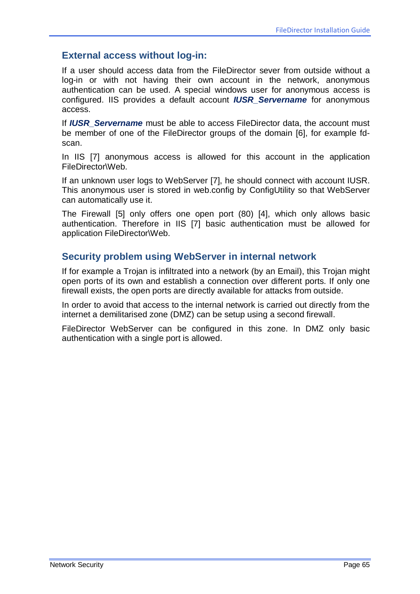### **External access without log-in:**

If a user should access data from the FileDirector sever from outside without a log-in or with not having their own account in the network, anonymous authentication can be used. A special windows user for anonymous access is configured. IIS provides a default account *IUSR\_Servername* for anonymous access.

If *IUSR\_Servername* must be able to access FileDirector data, the account must be member of one of the FileDirector groups of the domain [6], for example fdscan.

In IIS [7] anonymous access is allowed for this account in the application FileDirector\Web.

If an unknown user logs to WebServer [7], he should connect with account IUSR. This anonymous user is stored in web.config by ConfigUtility so that WebServer can automatically use it.

The Firewall [5] only offers one open port (80) [4], which only allows basic authentication. Therefore in IIS [7] basic authentication must be allowed for application FileDirector\Web.

## **Security problem using WebServer in internal network**

If for example a Trojan is infiltrated into a network (by an Email), this Trojan might open ports of its own and establish a connection over different ports. If only one firewall exists, the open ports are directly available for attacks from outside.

In order to avoid that access to the internal network is carried out directly from the internet a demilitarised zone (DMZ) can be setup using a second firewall.

FileDirector WebServer can be configured in this zone. In DMZ only basic authentication with a single port is allowed.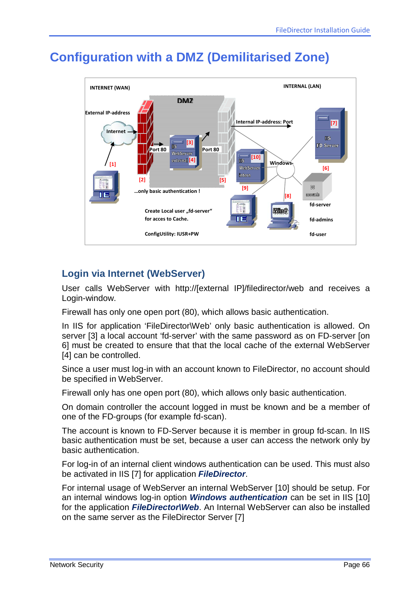# **Configuration with a DMZ (Demilitarised Zone)**



# **Login via Internet (WebServer)**

User calls WebServer with http://[external IP]/filedirector/web and receives a Login-window.

Firewall has only one open port (80), which allows basic authentication.

In IIS for application 'FileDirector\Web' only basic authentication is allowed. On server [3] a local account 'fd-server' with the same password as on FD-server [on 6] must be created to ensure that that the local cache of the external WebServer [4] can be controlled.

Since a user must log-in with an account known to FileDirector, no account should be specified in WebServer.

Firewall only has one open port (80), which allows only basic authentication.

On domain controller the account logged in must be known and be a member of one of the FD-groups (for example fd-scan).

The account is known to FD-Server because it is member in group fd-scan. In IIS basic authentication must be set, because a user can access the network only by basic authentication.

For log-in of an internal client windows authentication can be used. This must also be activated in IIS [7] for application *FileDirector*.

For internal usage of WebServer an internal WebServer [10] should be setup. For an internal windows log-in option *Windows authentication* can be set in IIS [10] for the application *FileDirector\Web*. An Internal WebServer can also be installed on the same server as the FileDirector Server [7]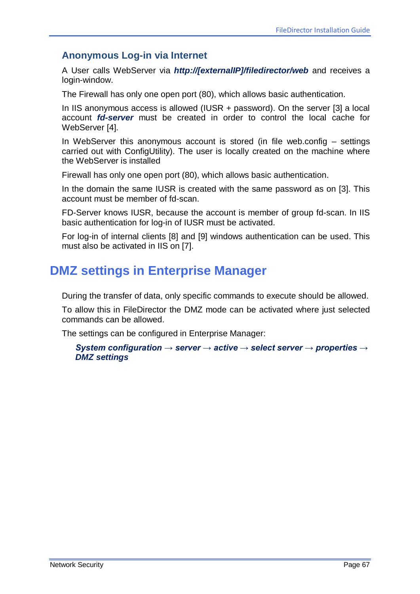### **Anonymous Log-in via Internet**

A User calls WebServer via *http://[externalIP]/filedirector/web* and receives a login-window.

The Firewall has only one open port (80), which allows basic authentication.

In IIS anonymous access is allowed (IUSR + password). On the server [3] a local account *fd-server* must be created in order to control the local cache for WebServer [4].

In WebServer this anonymous account is stored (in file web.config  $-$  settings carried out with ConfigUtility). The user is locally created on the machine where the WebServer is installed

Firewall has only one open port (80), which allows basic authentication.

In the domain the same IUSR is created with the same password as on [3]. This account must be member of fd-scan.

FD-Server knows IUSR, because the account is member of group fd-scan. In IIS basic authentication for log-in of IUSR must be activated.

For log-in of internal clients [8] and [9] windows authentication can be used. This must also be activated in IIS on [7].

# **DMZ settings in Enterprise Manager**

During the transfer of data, only specific commands to execute should be allowed.

To allow this in FileDirector the DMZ mode can be activated where just selected commands can be allowed.

The settings can be configured in Enterprise Manager:

*System configuration → server → active → select server → properties → DMZ settings*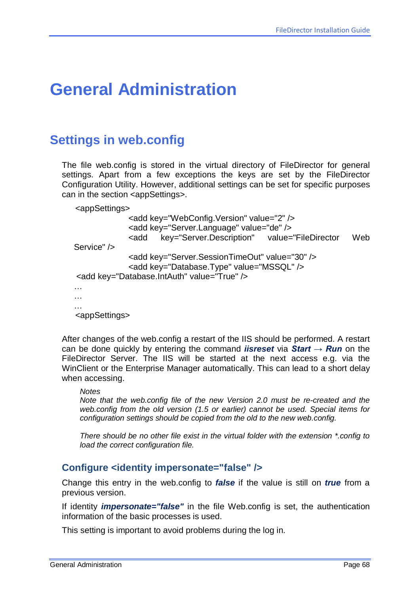# **General Administration**

# **Settings in web.config**

The file web.config is stored in the virtual directory of FileDirector for general settings. Apart from a few exceptions the keys are set by the FileDirector Configuration Utility. However, additional settings can be set for specific purposes can in the section <appSettings>.

<appSettings>

```
<add key="WebConfig.Version" value="2" />
             <add key="Server.Language" value="de" />
             <add key="Server.Description" value="FileDirector Web 
Service" />
             <add key="Server.SessionTimeOut" value="30" />
             <add key="Database.Type" value="MSSQL" />
<add key="Database.IntAuth" value="True" />
…
…
…
<appSettings>
```
After changes of the web.config a restart of the IIS should be performed. A restart can be done quickly by entering the command *iisreset* via *Start → Run* on the FileDirector Server. The IIS will be started at the next access e.g. via the WinClient or the Enterprise Manager automatically. This can lead to a short delay when accessing.

#### *Notes*

*Note that the web.config file of the new Version 2.0 must be re-created and the web.config from the old version (1.5 or earlier) cannot be used. Special items for configuration settings should be copied from the old to the new web.config.*

*There should be no other file exist in the virtual folder with the extension \*.config to load the correct configuration file.*

#### **Configure <identity impersonate="false" />**

Change this entry in the web.config to *false* if the value is still on *true* from a previous version.

If identity *impersonate="false"* in the file Web.config is set, the authentication information of the basic processes is used.

This setting is important to avoid problems during the log in.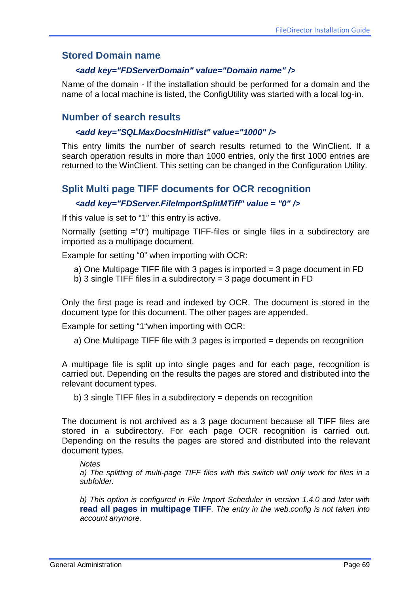### **Stored Domain name**

#### *<add key="FDServerDomain" value="Domain name" />*

Name of the domain - If the installation should be performed for a domain and the name of a local machine is listed, the ConfigUtility was started with a local log-in.

### **Number of search results**

#### *<add key="SQLMaxDocsInHitlist" value="1000" />*

This entry limits the number of search results returned to the WinClient. If a search operation results in more than 1000 entries, only the first 1000 entries are returned to the WinClient. This setting can be changed in the Configuration Utility.

### **Split Multi page TIFF documents for OCR recognition**

#### *<add key="FDServer.FileImportSplitMTiff" value = "0" />*

If this value is set to "1" this entry is active.

Normally (setting ="0") multipage TIFF-files or single files in a subdirectory are imported as a multipage document.

Example for setting "0" when importing with OCR:

- a) One Multipage TIFF file with 3 pages is imported = 3 page document in FD
- b) 3 single TIFF files in a subdirectory  $=$  3 page document in FD

Only the first page is read and indexed by OCR. The document is stored in the document type for this document. The other pages are appended.

Example for setting "1"when importing with OCR:

a) One Multipage TIFF file with 3 pages is imported = depends on recognition

A multipage file is split up into single pages and for each page, recognition is carried out. Depending on the results the pages are stored and distributed into the relevant document types.

b) 3 single TIFF files in a subdirectory  $=$  depends on recognition

The document is not archived as a 3 page document because all TIFF files are stored in a subdirectory. For each page OCR recognition is carried out. Depending on the results the pages are stored and distributed into the relevant document types.

#### *Notes*

*a) The splitting of multi-page TIFF files with this switch will only work for files in a subfolder.*

*b) This option is configured in File Import Scheduler in version 1.4.0 and later with*  **read all pages in multipage TIFF***. The entry in the web.config is not taken into account anymore.*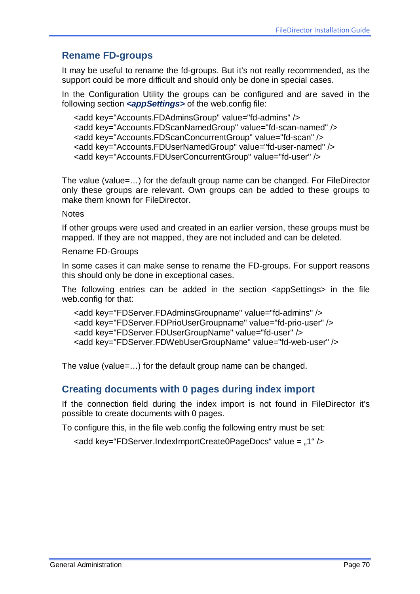## **Rename FD-groups**

It may be useful to rename the fd-groups. But it's not really recommended, as the support could be more difficult and should only be done in special cases.

In the Configuration Utility the groups can be configured and are saved in the following section *<appSettings>* of the web.config file:

```
<add key="Accounts.FDAdminsGroup" value="fd-admins" />
<add key="Accounts.FDScanNamedGroup" value="fd-scan-named" />
<add key="Accounts.FDScanConcurrentGroup" value="fd-scan" />
<add key="Accounts.FDUserNamedGroup" value="fd-user-named" />
<add key="Accounts.FDUserConcurrentGroup" value="fd-user" />
```
The value (value=…) for the default group name can be changed. For FileDirector only these groups are relevant. Own groups can be added to these groups to make them known for FileDirector.

**Notes** 

If other groups were used and created in an earlier version, these groups must be mapped. If they are not mapped, they are not included and can be deleted.

Rename FD-Groups

In some cases it can make sense to rename the FD-groups. For support reasons this should only be done in exceptional cases.

The following entries can be added in the section <appSettings> in the file web.config for that:

```
<add key="FDServer.FDAdminsGroupname" value="fd-admins" />
<add key="FDServer.FDPrioUserGroupname" value="fd-prio-user" />
<add key="FDServer.FDUserGroupName" value="fd-user" />
<add key="FDServer.FDWebUserGroupName" value="fd-web-user" />
```
The value (value=…) for the default group name can be changed.

### **Creating documents with 0 pages during index import**

If the connection field during the index import is not found in FileDirector it's possible to create documents with 0 pages.

To configure this, in the file web.config the following entry must be set:

<add key="FDServer.IndexImportCreate0PageDocs" value = ..1" />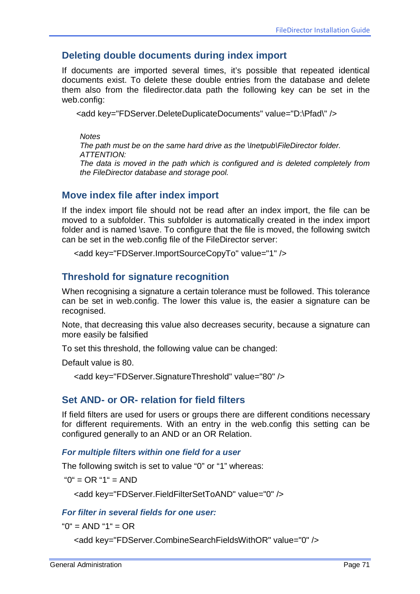### **Deleting double documents during index import**

If documents are imported several times, it's possible that repeated identical documents exist. To delete these double entries from the database and delete them also from the filedirector.data path the following key can be set in the web.config:

<add key="FDServer.DeleteDuplicateDocuments" value="D:\Pfad\" />

*Notes*

*The path must be on the same hard drive as the \Inetpub\FileDirector folder. ATTENTION: The data is moved in the path which is configured and is deleted completely from* 

## **Move index file after index import**

*the FileDirector database and storage pool.*

If the index import file should not be read after an index import, the file can be moved to a subfolder. This subfolder is automatically created in the index import folder and is named \save. To configure that the file is moved, the following switch can be set in the web.config file of the FileDirector server:

```
<add key="FDServer.ImportSourceCopyTo" value="1" />
```
### **Threshold for signature recognition**

When recognising a signature a certain tolerance must be followed. This tolerance can be set in web.config. The lower this value is, the easier a signature can be recognised.

Note, that decreasing this value also decreases security, because a signature can more easily be falsified

To set this threshold, the following value can be changed:

Default value is 80.

```
<add key="FDServer.SignatureThreshold" value="80" />
```
### **Set AND- or OR- relation for field filters**

If field filters are used for users or groups there are different conditions necessary for different requirements. With an entry in the web.config this setting can be configured generally to an AND or an OR Relation.

#### *For multiple filters within one field for a user*

The following switch is set to value "0" or "1" whereas:

"0" = OR "1" = AND

<add key="FDServer.FieldFilterSetToAND" value="0" />

#### *For filter in several fields for one user:*

 $"0" = AND "1" = OR$ 

<add key="FDServer.CombineSearchFieldsWithOR" value="0" />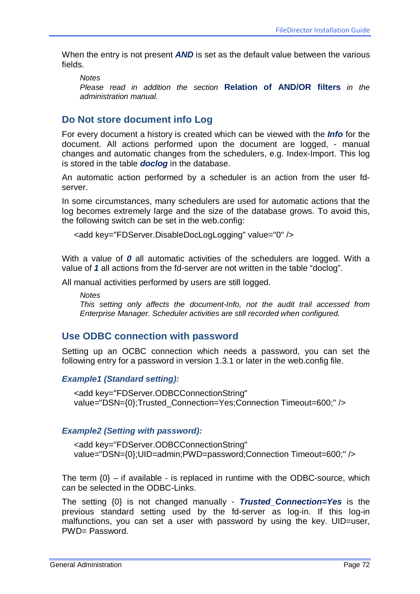When the entry is not present **AND** is set as the default value between the various fields.

*Notes*

*Please read in addition the section* **Relation of AND/OR filters** *in the administration manual.*

### **Do Not store document info Log**

For every document a history is created which can be viewed with the *Info* for the document. All actions performed upon the document are logged, - manual changes and automatic changes from the schedulers, e.g. Index-Import. This log is stored in the table *doclog* in the database.

An automatic action performed by a scheduler is an action from the user fdserver.

In some circumstances, many schedulers are used for automatic actions that the log becomes extremely large and the size of the database grows. To avoid this, the following switch can be set in the web.config:

```
<add key="FDServer.DisableDocLogLogging" value="0" />
```
With a value of **0** all automatic activities of the schedulers are logged. With a value of *1* all actions from the fd-server are not written in the table "doclog".

All manual activities performed by users are still logged.

*Notes*

*This setting only affects the document-Info, not the audit trail accessed from Enterprise Manager. Scheduler activities are still recorded when configured.*

#### **Use ODBC connection with password**

Setting up an OCBC connection which needs a password, you can set the following entry for a password in version 1.3.1 or later in the web.config file.

#### *Example1 (Standard setting):*

<add key="FDServer.ODBCConnectionString" value="DSN={0};Trusted\_Connection=Yes;Connection Timeout=600;" />

#### *Example2 (Setting with password):*

<add key="FDServer.ODBCConnectionString" value="DSN={0};UID=admin;PWD=password;Connection Timeout=600;" />

The term  $\{0\}$  – if available - is replaced in runtime with the ODBC-source, which can be selected in the ODBC-Links.

The setting {0} is not changed manually - *Trusted\_Connection=Yes* is the previous standard setting used by the fd-server as log-in. If this log-in malfunctions, you can set a user with password by using the key. UID=user, PWD= Password.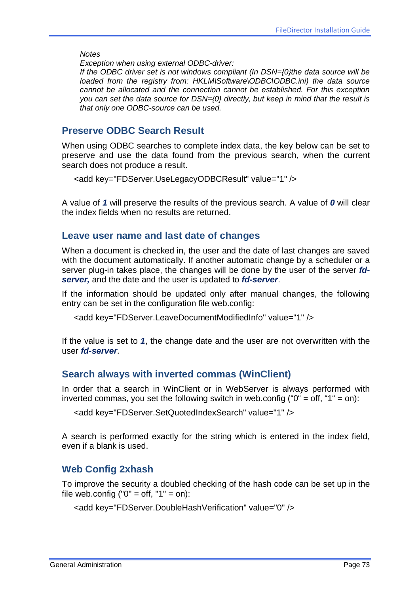*Notes*

*Exception when using external ODBC-driver:* 

*If the ODBC driver set is not windows compliant (In DSN={0}the data source will be loaded from the registry from: HKLM\Software\ODBC\ODBC.ini) the data source cannot be allocated and the connection cannot be established. For this exception you can set the data source for DSN={0} directly, but keep in mind that the result is that only one ODBC-source can be used.*

### **Preserve ODBC Search Result**

When using ODBC searches to complete index data, the key below can be set to preserve and use the data found from the previous search, when the current search does not produce a result.

```
<add key="FDServer.UseLegacyODBCResult" value="1" />
```
A value of *1* will preserve the results of the previous search. A value of *0* will clear the index fields when no results are returned.

#### **Leave user name and last date of changes**

When a document is checked in, the user and the date of last changes are saved with the document automatically. If another automatic change by a scheduler or a server plug-in takes place, the changes will be done by the user of the server *fdserver,* and the date and the user is updated to *fd-server*.

If the information should be updated only after manual changes, the following entry can be set in the configuration file web.config:

<add key="FDServer.LeaveDocumentModifiedInfo" value="1" />

If the value is set to *1*, the change date and the user are not overwritten with the user *fd-server*.

### **Search always with inverted commas (WinClient)**

In order that a search in WinClient or in WebServer is always performed with inverted commas, you set the following switch in web.config (" $0$ " = off, "1" = on):

```
<add key="FDServer.SetQuotedIndexSearch" value="1" />
```
A search is performed exactly for the string which is entered in the index field, even if a blank is used.

### **Web Config 2xhash**

To improve the security a doubled checking of the hash code can be set up in the file web.config (" $0$ " = off, " $1$ " = on):

```
<add key="FDServer.DoubleHashVerification" value="0" />
```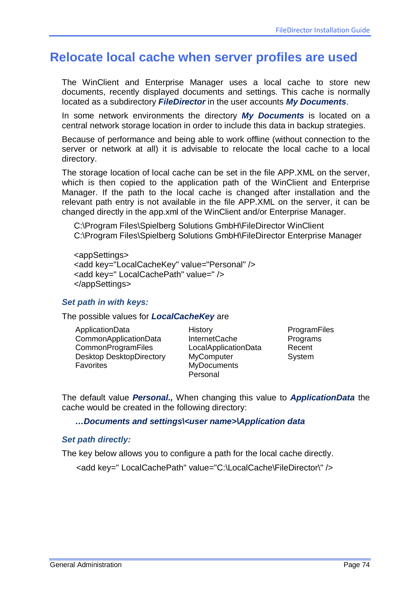## <span id="page-73-0"></span>**Relocate local cache when server profiles are used**

The WinClient and Enterprise Manager uses a local cache to store new documents, recently displayed documents and settings. This cache is normally located as a subdirectory *FileDirector* in the user accounts *My Documents*.

In some network environments the directory *My Documents* is located on a central network storage location in order to include this data in backup strategies.

Because of performance and being able to work offline (without connection to the server or network at all) it is advisable to relocate the local cache to a local directory.

The storage location of local cache can be set in the file APP.XML on the server, which is then copied to the application path of the WinClient and Enterprise Manager. If the path to the local cache is changed after installation and the relevant path entry is not available in the file APP.XML on the server, it can be changed directly in the app.xml of the WinClient and/or Enterprise Manager.

C:\Program Files\Spielberg Solutions GmbH\FileDirector WinClient C:\Program Files\Spielberg Solutions GmbH\FileDirector Enterprise Manager

<appSettings> <add key="LocalCacheKey" value="Personal" /> <add key=" LocalCachePath" value=" /> </appSettings>

#### *Set path in with keys:*

The possible values for *LocalCacheKey* are

ApplicationData CommonApplicationData **CommonProgramFiles** Desktop DesktopDirectory **Favorites** 

History InternetCache LocalApplicationData **MyComputer MyDocuments** Personal

**ProgramFiles Programs** Recent **System** 

The default value *Personal.,* When changing this value to *ApplicationData* the cache would be created in the following directory:

#### *…Documents and settings\<user name>\Application data*

#### *Set path directly:*

The key below allows you to configure a path for the local cache directly.

<add key=" LocalCachePath" value="C:\LocalCache\FileDirector\" />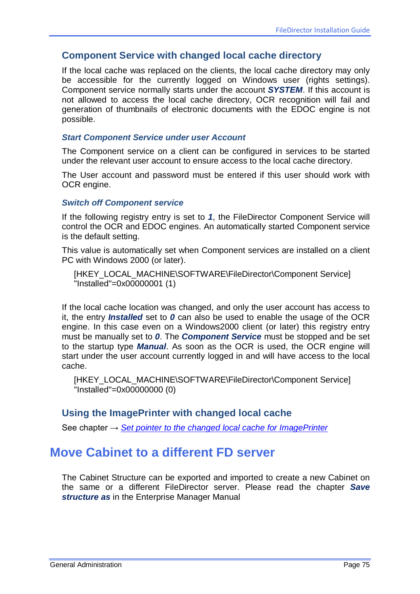### **Component Service with changed local cache directory**

If the local cache was replaced on the clients, the local cache directory may only be accessible for the currently logged on Windows user (rights settings). Component service normally starts under the account *SYSTEM*. If this account is not allowed to access the local cache directory, OCR recognition will fail and generation of thumbnails of electronic documents with the EDOC engine is not possible.

#### *Start Component Service under user Account*

The Component service on a client can be configured in services to be started under the relevant user account to ensure access to the local cache directory.

The User account and password must be entered if this user should work with OCR engine.

#### *Switch off Component service*

If the following registry entry is set to *1*, the FileDirector Component Service will control the OCR and EDOC engines. An automatically started Component service is the default setting.

This value is automatically set when Component services are installed on a client PC with Windows 2000 (or later).

[HKEY\_LOCAL\_MACHINE\SOFTWARE\FileDirector\Component Service] "Installed"=0x00000001 (1)

If the local cache location was changed, and only the user account has access to it, the entry *Installed* set to *0* can also be used to enable the usage of the OCR engine. In this case even on a Windows2000 client (or later) this registry entry must be manually set to *0*. The *Component Service* must be stopped and be set to the startup type *Manual*. As soon as the OCR is used, the OCR engine will start under the user account currently logged in and will have access to the local cache.

[HKEY\_LOCAL\_MACHINE\SOFTWARE\FileDirector\Component Service] "Installed"=0x00000000 (0)

### **Using the ImagePrinter with changed local cache**

See chapter → *[Set pointer to the changed local cache for ImagePrinter](#page-91-0)*

## **Move Cabinet to a different FD server**

The Cabinet Structure can be exported and imported to create a new Cabinet on the same or a different FileDirector server. Please read the chapter *Save structure as* in the Enterprise Manager Manual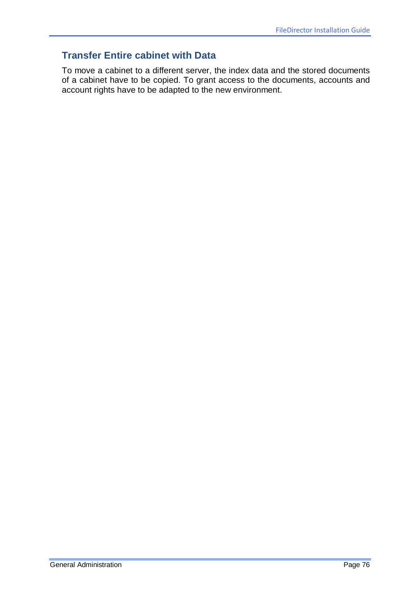## **Transfer Entire cabinet with Data**

To move a cabinet to a different server, the index data and the stored documents of a cabinet have to be copied. To grant access to the documents, accounts and account rights have to be adapted to the new environment.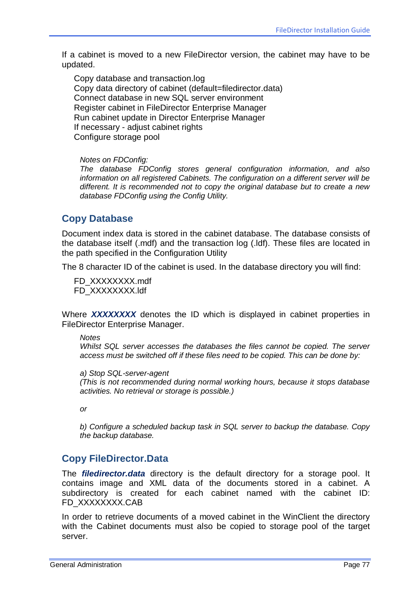If a cabinet is moved to a new FileDirector version, the cabinet may have to be updated.

Copy database and transaction.log Copy data directory of cabinet (default=filedirector.data) Connect database in new SQL server environment Register cabinet in FileDirector Enterprise Manager Run cabinet update in Director Enterprise Manager If necessary - adjust cabinet rights Configure storage pool

#### *Notes on FDConfig:*

*The database FDConfig stores general configuration information, and also information on all registered Cabinets. The configuration on a different server will be different. It is recommended not to copy the original database but to create a new database FDConfig using the Config Utility.*

### **Copy Database**

Document index data is stored in the cabinet database. The database consists of the database itself (.mdf) and the transaction log (.ldf). These files are located in the path specified in the Configuration Utility

The 8 character ID of the cabinet is used. In the database directory you will find:

FD\_XXXXXXXX.mdf FD\_XXXXXXXX.ldf

Where *XXXXXXXX* denotes the ID which is displayed in cabinet properties in FileDirector Enterprise Manager.

#### *Notes*

*Whilst SQL server accesses the databases the files cannot be copied. The server access must be switched off if these files need to be copied. This can be done by:*

*a) Stop SQL-server-agent*

*(This is not recommended during normal working hours, because it stops database activities. No retrieval or storage is possible.)*

*or*

*b) Configure a scheduled backup task in SQL server to backup the database. Copy the backup database.* 

### **Copy FileDirector.Data**

The *filedirector.data* directory is the default directory for a storage pool. It contains image and XML data of the documents stored in a cabinet. A subdirectory is created for each cabinet named with the cabinet ID: FD\_XXXXXXXX.CAB

In order to retrieve documents of a moved cabinet in the WinClient the directory with the Cabinet documents must also be copied to storage pool of the target server.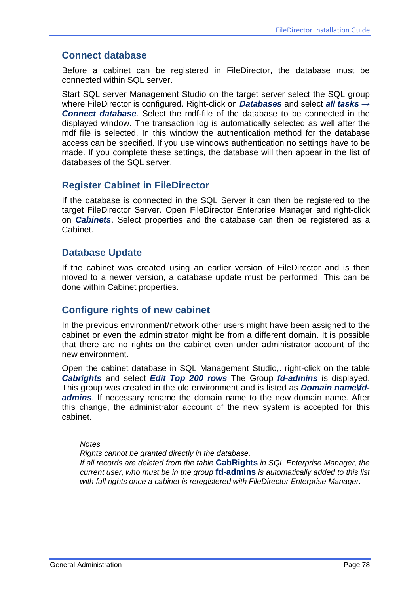### **Connect database**

Before a cabinet can be registered in FileDirector, the database must be connected within SQL server.

Start SQL server Management Studio on the target server select the SQL group where FileDirector is configured. Right-click on *Databases* and select *all tasks → Connect database*. Select the mdf-file of the database to be connected in the displayed window. The transaction log is automatically selected as well after the mdf file is selected. In this window the authentication method for the database access can be specified. If you use windows authentication no settings have to be made. If you complete these settings, the database will then appear in the list of databases of the SQL server.

### **Register Cabinet in FileDirector**

If the database is connected in the SQL Server it can then be registered to the target FileDirector Server. Open FileDirector Enterprise Manager and right-click on *Cabinets*. Select properties and the database can then be registered as a Cabinet.

### **Database Update**

If the cabinet was created using an earlier version of FileDirector and is then moved to a newer version, a database update must be performed. This can be done within Cabinet properties.

### **Configure rights of new cabinet**

In the previous environment/network other users might have been assigned to the cabinet or even the administrator might be from a different domain. It is possible that there are no rights on the cabinet even under administrator account of the new environment.

Open the cabinet database in SQL Management Studio,. right-click on the table *Cabrights* and select *Edit Top 200 rows* The Group *fd-admins* is displayed. This group was created in the old environment and is listed as *Domain name\fdadmins*. If necessary rename the domain name to the new domain name. After this change, the administrator account of the new system is accepted for this cabinet.

#### *Notes*

*Rights cannot be granted directly in the database.*

*If all records are deleted from the table* **CabRights** *in SQL Enterprise Manager, the current user, who must be in the group* **fd-admins** *is automatically added to this list with full rights once a cabinet is reregistered with FileDirector Enterprise Manager.*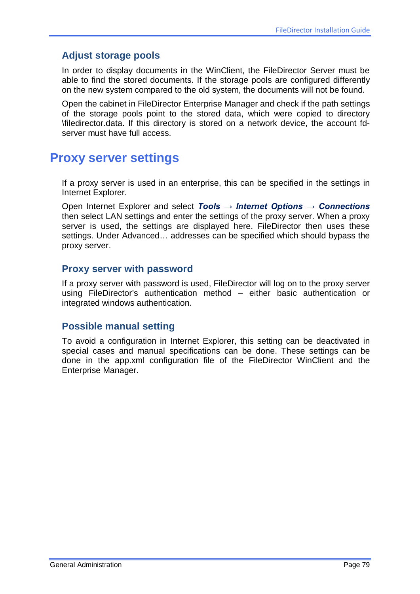## **Adjust storage pools**

In order to display documents in the WinClient, the FileDirector Server must be able to find the stored documents. If the storage pools are configured differently on the new system compared to the old system, the documents will not be found.

Open the cabinet in FileDirector Enterprise Manager and check if the path settings of the storage pools point to the stored data, which were copied to directory \filedirector.data. If this directory is stored on a network device, the account fdserver must have full access.

## **Proxy server settings**

If a proxy server is used in an enterprise, this can be specified in the settings in Internet Explorer.

Open Internet Explorer and select *Tools → Internet Options → Connections* then select LAN settings and enter the settings of the proxy server. When a proxy server is used, the settings are displayed here. FileDirector then uses these settings. Under Advanced… addresses can be specified which should bypass the proxy server.

### **Proxy server with password**

If a proxy server with password is used, FileDirector will log on to the proxy server using FileDirector's authentication method – either basic authentication or integrated windows authentication.

### **Possible manual setting**

To avoid a configuration in Internet Explorer, this setting can be deactivated in special cases and manual specifications can be done. These settings can be done in the app.xml configuration file of the FileDirector WinClient and the Enterprise Manager.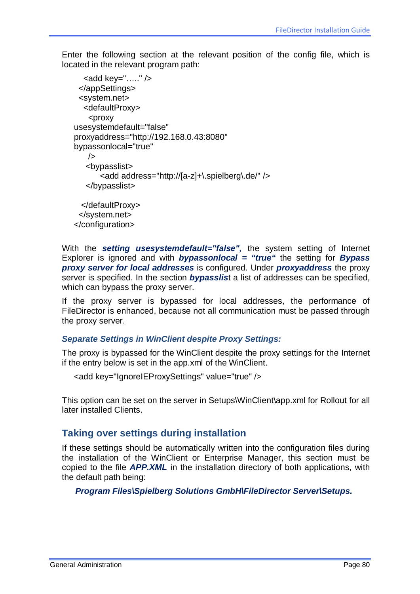Enter the following section at the relevant position of the config file, which is located in the relevant program path:

```
\ltadd key="....." />
  </appSettings>
  <system.net>
   <defaultProxy>
    <proxy
usesystemdefault="false" 
proxyaddress="http://192.168.0.43:8080" 
bypassonlocal="true" 
    />
    <bypasslist>
        <add address="http://[a-z]+\.spielberg\.de/" />
    </bypasslist>
   </defaultProxy>
  </system.net>
```
</configuration>

With the **setting usesystemdefault="false"**, the system setting of Internet Explorer is ignored and with *bypassonlocal = "true"* the setting for *Bypass proxy server for local addresses* is configured. Under *proxyaddress* the proxy server is specified. In the section *bypasslis*t a list of addresses can be specified, which can bypass the proxy server.

If the proxy server is bypassed for local addresses, the performance of FileDirector is enhanced, because not all communication must be passed through the proxy server.

### *Separate Settings in WinClient despite Proxy Settings:*

The proxy is bypassed for the WinClient despite the proxy settings for the Internet if the entry below is set in the app.xml of the WinClient.

```
<add key="IgnoreIEProxySettings" value="true" />
```
This option can be set on the server in Setups\WinClient\app.xml for Rollout for all later installed Clients.

### **Taking over settings during installation**

If these settings should be automatically written into the configuration files during the installation of the WinClient or Enterprise Manager, this section must be copied to the file *APP.XML* in the installation directory of both applications, with the default path being:

*Program Files\Spielberg Solutions GmbH\FileDirector Server\Setups.*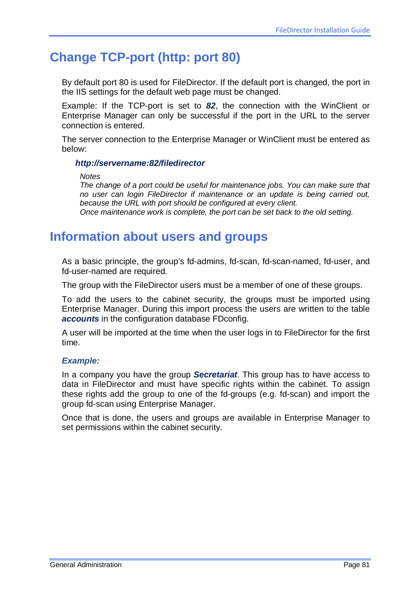## **Change TCP-port (http: port 80)**

By default port 80 is used for FileDirector. If the default port is changed, the port in the IIS settings for the default web page must be changed.

Example: If the TCP-port is set to *82*, the connection with the WinClient or Enterprise Manager can only be successful if the port in the URL to the server connection is entered.

The server connection to the Enterprise Manager or WinClient must be entered as below:

#### *http://servername:82/filedirector*

*Notes*

*The change of a port could be useful for maintenance jobs. You can make sure that no user can login FileDirector if maintenance or an update is being carried out, because the URL with port should be configured at every client. Once maintenance work is complete, the port can be set back to the old setting.* 

## **Information about users and groups**

As a basic principle, the group's fd-admins, fd-scan, fd-scan-named, fd-user, and fd-user-named are required.

The group with the FileDirector users must be a member of one of these groups.

To add the users to the cabinet security, the groups must be imported using Enterprise Manager. During this import process the users are written to the table *accounts* in the configuration database FDconfig.

A user will be imported at the time when the user logs in to FileDirector for the first time.

#### *Example:*

In a company you have the group *Secretariat*. This group has to have access to data in FileDirector and must have specific rights within the cabinet. To assign these rights add the group to one of the fd-groups (e.g. fd-scan) and import the group fd-scan using Enterprise Manager.

Once that is done, the users and groups are available in Enterprise Manager to set permissions within the cabinet security.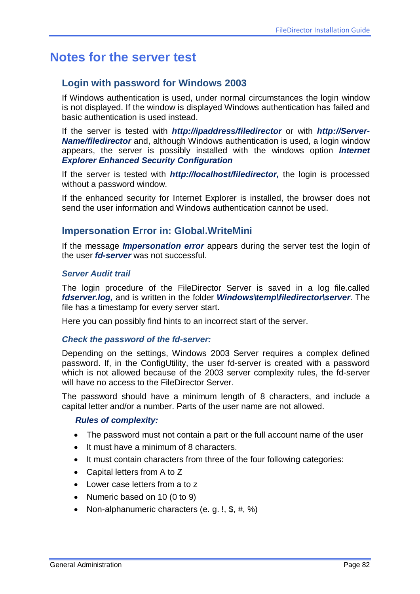## **Notes for the server test**

## **Login with password for Windows 2003**

If Windows authentication is used, under normal circumstances the login window is not displayed. If the window is displayed Windows authentication has failed and basic authentication is used instead.

If the server is tested with *http://ipaddress/filedirector* or with *http://Server-Name/filedirector* and, although Windows authentication is used, a login window appears, the server is possibly installed with the windows option *Internet Explorer Enhanced Security Configuration*

If the server is tested with *http://localhost/filedirector,* the login is processed without a password window.

If the enhanced security for Internet Explorer is installed, the browser does not send the user information and Windows authentication cannot be used.

### **Impersonation Error in: Global.WriteMini**

If the message *Impersonation error* appears during the server test the login of the user *fd-server* was not successful.

#### *Server Audit trail*

The login procedure of the FileDirector Server is saved in a log file.called *fdserver.log,* and is written in the folder *Windows\temp\filedirector\server*. The file has a timestamp for every server start.

Here you can possibly find hints to an incorrect start of the server.

#### *Check the password of the fd-server:*

Depending on the settings, Windows 2003 Server requires a complex defined password. If, in the ConfigUtility, the user fd-server is created with a password which is not allowed because of the 2003 server complexity rules, the fd-server will have no access to the FileDirector Server.

The password should have a minimum length of 8 characters, and include a capital letter and/or a number. Parts of the user name are not allowed.

#### *Rules of complexity:*

- The password must not contain a part or the full account name of the user
- It must have a minimum of 8 characters.
- It must contain characters from three of the four following categories:
- Capital letters from A to Z
- Lower case letters from a to z
- Numeric based on 10 (0 to 9)
- Non-alphanumeric characters (e. g. !, \$, #, %)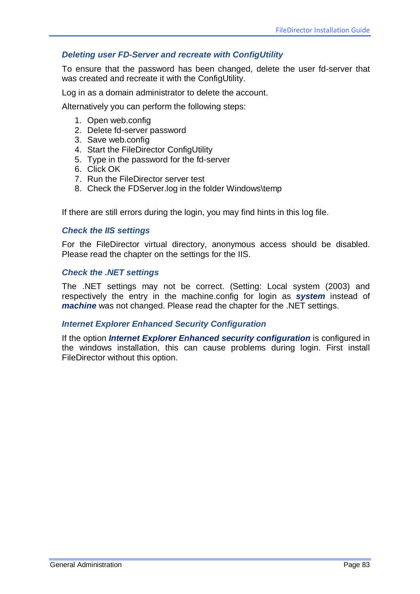### *Deleting user FD-Server and recreate with ConfigUtility*

To ensure that the password has been changed, delete the user fd-server that was created and recreate it with the ConfigUtility.

Log in as a domain administrator to delete the account.

Alternatively you can perform the following steps:

- 1. Open web.config
- 2. Delete fd-server password
- 3. Save web.config
- 4. Start the FileDirector ConfigUtility
- 5. Type in the password for the fd-server
- 6. Click OK
- 7. Run the FileDirector server test
- 8. Check the FDServer.log in the folder Windows\temp

If there are still errors during the login, you may find hints in this log file.

#### *Check the IIS settings*

For the FileDirector virtual directory, anonymous access should be disabled. Please read the chapter on the settings for the IIS.

#### *Check the .NET settings*

The .NET settings may not be correct. (Setting: Local system (2003) and respectively the entry in the machine.config for login as *system* instead of *machine* was not changed. Please read the chapter for the .NET settings.

#### *Internet Explorer Enhanced Security Configuration*

If the option *Internet Explorer Enhanced security configuration* is configured in the windows installation, this can cause problems during login. First install FileDirector without this option.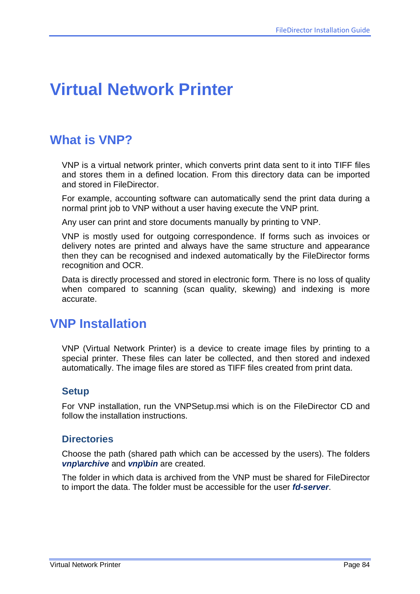# **Virtual Network Printer**

## **What is VNP?**

VNP is a virtual network printer, which converts print data sent to it into TIFF files and stores them in a defined location. From this directory data can be imported and stored in FileDirector.

For example, accounting software can automatically send the print data during a normal print job to VNP without a user having execute the VNP print.

Any user can print and store documents manually by printing to VNP.

VNP is mostly used for outgoing correspondence. If forms such as invoices or delivery notes are printed and always have the same structure and appearance then they can be recognised and indexed automatically by the FileDirector forms recognition and OCR.

Data is directly processed and stored in electronic form. There is no loss of quality when compared to scanning (scan quality, skewing) and indexing is more accurate.

## **VNP Installation**

VNP (Virtual Network Printer) is a device to create image files by printing to a special printer. These files can later be collected, and then stored and indexed automatically. The image files are stored as TIFF files created from print data.

### **Setup**

For VNP installation, run the VNPSetup.msi which is on the FileDirector CD and follow the installation instructions.

### **Directories**

Choose the path (shared path which can be accessed by the users). The folders *vnp\archive* and *vnp\bin* are created.

The folder in which data is archived from the VNP must be shared for FileDirector to import the data. The folder must be accessible for the user *fd-server*.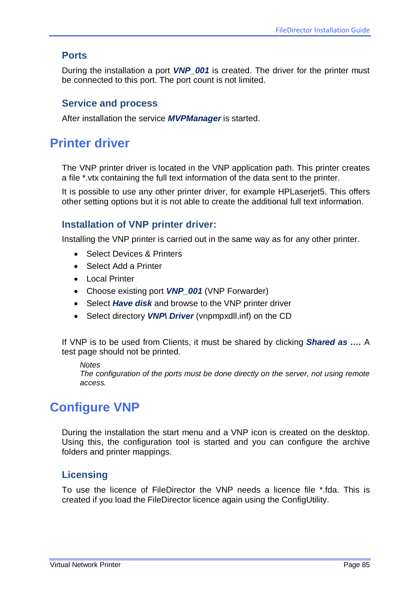## **Ports**

During the installation a port *VNP\_001* is created. The driver for the printer must be connected to this port. The port count is not limited.

### **Service and process**

After installation the service *MVPManager* is started.

## **Printer driver**

The VNP printer driver is located in the VNP application path. This printer creates a file \*.vtx containing the full text information of the data sent to the printer.

It is possible to use any other printer driver, for example HPLaserjet5. This offers other setting options but it is not able to create the additional full text information.

### **Installation of VNP printer driver:**

Installing the VNP printer is carried out in the same way as for any other printer.

- Select Devices & Printers
- Select Add a Printer
- Local Printer
- Choose existing port *VNP\_001* (VNP Forwarder)
- Select *Have disk* and browse to the VNP printer driver
- Select directory *VNP\ Driver* (vnpmpxdll.inf) on the CD

If VNP is to be used from Clients, it must be shared by clicking *Shared as ….* A test page should not be printed.

#### *Notes*

*The configuration of the ports must be done directly on the server, not using remote access.*

## **Configure VNP**

During the installation the start menu and a VNP icon is created on the desktop. Using this, the configuration tool is started and you can configure the archive folders and printer mappings.

### **Licensing**

To use the licence of FileDirector the VNP needs a licence file \*.fda. This is created if you load the FileDirector licence again using the ConfigUtility.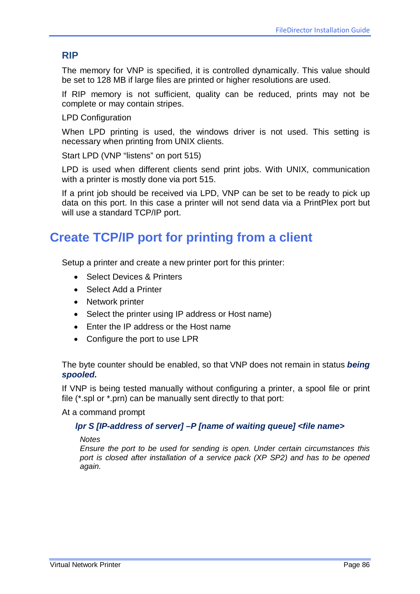## **RIP**

The memory for VNP is specified, it is controlled dynamically. This value should be set to 128 MB if large files are printed or higher resolutions are used.

If RIP memory is not sufficient, quality can be reduced, prints may not be complete or may contain stripes.

LPD Configuration

When LPD printing is used, the windows driver is not used. This setting is necessary when printing from UNIX clients.

Start LPD (VNP "listens" on port 515)

LPD is used when different clients send print jobs. With UNIX, communication with a printer is mostly done via port 515.

If a print job should be received via LPD, VNP can be set to be ready to pick up data on this port. In this case a printer will not send data via a PrintPlex port but will use a standard TCP/IP port.

## **Create TCP/IP port for printing from a client**

Setup a printer and create a new printer port for this printer:

- Select Devices & Printers
- Select Add a Printer
- Network printer
- Select the printer using IP address or Host name)
- Enter the IP address or the Host name
- Configure the port to use LPR

The byte counter should be enabled, so that VNP does not remain in status *being spooled.*

If VNP is being tested manually without configuring a printer, a spool file or print file (\*.spl or \*.prn) can be manually sent directly to that port:

At a command prompt

### *lpr S [IP-address of server] –P [name of waiting queue] <file name>*

*Notes*

*Ensure the port to be used for sending is open. Under certain circumstances this port is closed after installation of a service pack (XP SP2) and has to be opened again.*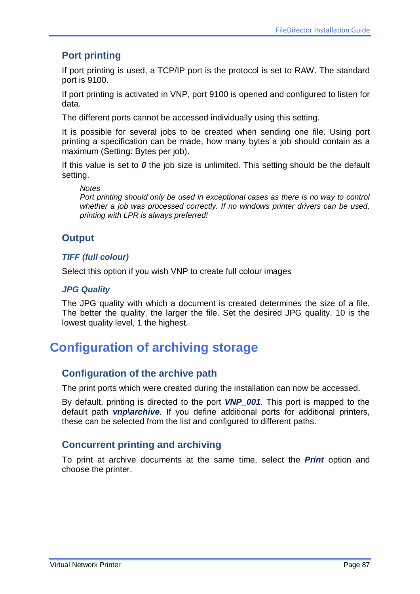## **Port printing**

If port printing is used, a TCP/IP port is the protocol is set to RAW. The standard port is 9100.

If port printing is activated in VNP, port 9100 is opened and configured to listen for data.

The different ports cannot be accessed individually using this setting.

It is possible for several jobs to be created when sending one file. Using port printing a specification can be made, how many bytes a job should contain as a maximum (Setting: Bytes per job).

If this value is set to *0* the job size is unlimited. This setting should be the default setting.

*Notes*

*Port printing should only be used in exceptional cases as there is no way to control whether a job was processed correctly. If no windows printer drivers can be used, printing with LPR is always preferred!* 

## **Output**

### *TIFF (full colour)*

Select this option if you wish VNP to create full colour images

#### *JPG Quality*

The JPG quality with which a document is created determines the size of a file. The better the quality, the larger the file. Set the desired JPG quality. 10 is the lowest quality level, 1 the highest.

## **Configuration of archiving storage**

### **Configuration of the archive path**

The print ports which were created during the installation can now be accessed.

By default, printing is directed to the port *VNP\_001*. This port is mapped to the default path *vnp\archive*. If you define additional ports for additional printers, these can be selected from the list and configured to different paths.

### **Concurrent printing and archiving**

To print at archive documents at the same time, select the *Print* option and choose the printer.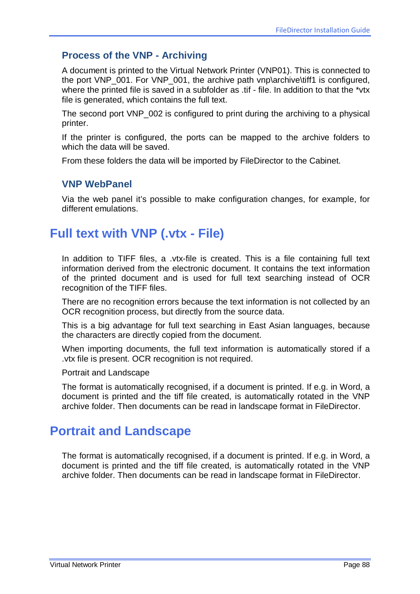## **Process of the VNP - Archiving**

A document is printed to the Virtual Network Printer (VNP01). This is connected to the port VNP\_001. For VNP\_001, the archive path vnp\archive\tiff1 is configured, where the printed file is saved in a subfolder as .tif - file. In addition to that the \*vtx file is generated, which contains the full text.

The second port VNP\_002 is configured to print during the archiving to a physical printer.

If the printer is configured, the ports can be mapped to the archive folders to which the data will be saved.

From these folders the data will be imported by FileDirector to the Cabinet.

### **VNP WebPanel**

Via the web panel it's possible to make configuration changes, for example, for different emulations.

## **Full text with VNP (.vtx - File)**

In addition to TIFF files, a .vtx-file is created. This is a file containing full text information derived from the electronic document. It contains the text information of the printed document and is used for full text searching instead of OCR recognition of the TIFF files.

There are no recognition errors because the text information is not collected by an OCR recognition process, but directly from the source data.

This is a big advantage for full text searching in East Asian languages, because the characters are directly copied from the document.

When importing documents, the full text information is automatically stored if a .vtx file is present. OCR recognition is not required.

Portrait and Landscape

The format is automatically recognised, if a document is printed. If e.g. in Word, a document is printed and the tiff file created, is automatically rotated in the VNP archive folder. Then documents can be read in landscape format in FileDirector.

## **Portrait and Landscape**

The format is automatically recognised, if a document is printed. If e.g. in Word, a document is printed and the tiff file created, is automatically rotated in the VNP archive folder. Then documents can be read in landscape format in FileDirector.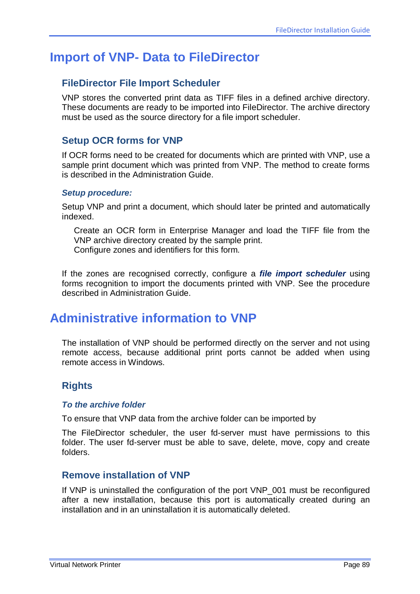## **Import of VNP- Data to FileDirector**

## **FileDirector File Import Scheduler**

VNP stores the converted print data as TIFF files in a defined archive directory. These documents are ready to be imported into FileDirector. The archive directory must be used as the source directory for a file import scheduler.

## **Setup OCR forms for VNP**

If OCR forms need to be created for documents which are printed with VNP, use a sample print document which was printed from VNP. The method to create forms is described in the Administration Guide.

#### *Setup procedure:*

Setup VNP and print a document, which should later be printed and automatically indexed.

Create an OCR form in Enterprise Manager and load the TIFF file from the VNP archive directory created by the sample print. Configure zones and identifiers for this form.

If the zones are recognised correctly, configure a *file import scheduler* using forms recognition to import the documents printed with VNP. See the procedure described in Administration Guide.

## **Administrative information to VNP**

The installation of VNP should be performed directly on the server and not using remote access, because additional print ports cannot be added when using remote access in Windows.

## **Rights**

#### *To the archive folder*

To ensure that VNP data from the archive folder can be imported by

The FileDirector scheduler, the user fd-server must have permissions to this folder. The user fd-server must be able to save, delete, move, copy and create folders.

### **Remove installation of VNP**

If VNP is uninstalled the configuration of the port VNP\_001 must be reconfigured after a new installation, because this port is automatically created during an installation and in an uninstallation it is automatically deleted.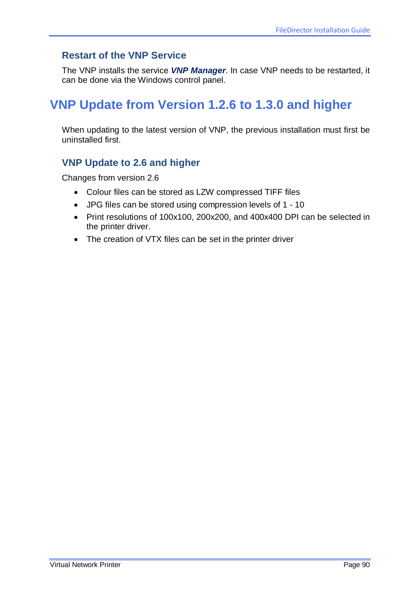## **Restart of the VNP Service**

The VNP installs the service *VNP Manager*. In case VNP needs to be restarted, it can be done via the Windows control panel.

## **VNP Update from Version 1.2.6 to 1.3.0 and higher**

When updating to the latest version of VNP, the previous installation must first be uninstalled first.

## **VNP Update to 2.6 and higher**

Changes from version 2.6

- Colour files can be stored as LZW compressed TIFF files
- JPG files can be stored using compression levels of 1 10
- Print resolutions of 100x100, 200x200, and 400x400 DPI can be selected in the printer driver.
- The creation of VTX files can be set in the printer driver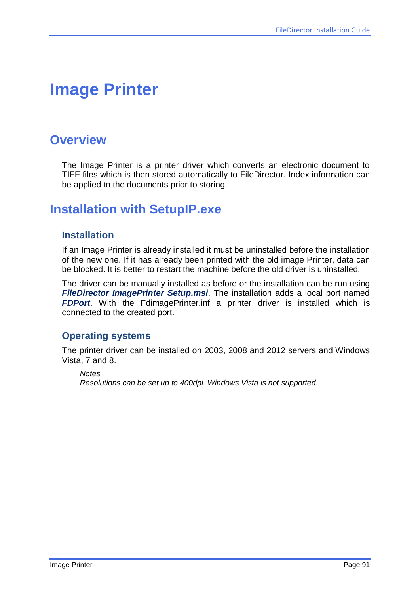# **Image Printer**

## **Overview**

The Image Printer is a printer driver which converts an electronic document to TIFF files which is then stored automatically to FileDirector. Index information can be applied to the documents prior to storing.

## **Installation with SetupIP.exe**

### **Installation**

If an Image Printer is already installed it must be uninstalled before the installation of the new one. If it has already been printed with the old image Printer, data can be blocked. It is better to restart the machine before the old driver is uninstalled.

The driver can be manually installed as before or the installation can be run using *FileDirector ImagePrinter Setup.msi*. The installation adds a local port named *FDPort*. With the FdimagePrinter.inf a printer driver is installed which is connected to the created port.

### **Operating systems**

The printer driver can be installed on 2003, 2008 and 2012 servers and Windows Vista, 7 and 8.

*Notes Resolutions can be set up to 400dpi. Windows Vista is not supported.*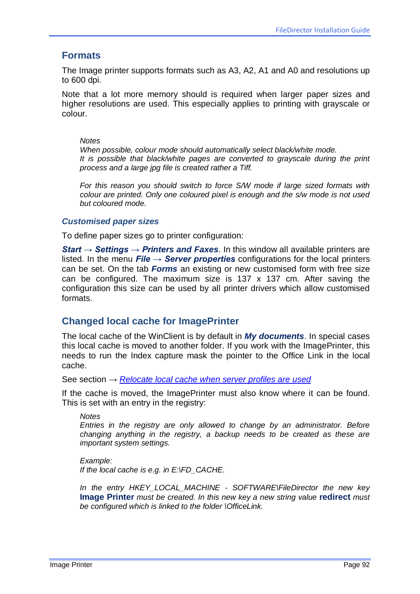### **Formats**

The Image printer supports formats such as A3, A2, A1 and A0 and resolutions up to 600 dpi.

Note that a lot more memory should is required when larger paper sizes and higher resolutions are used. This especially applies to printing with grayscale or colour.

#### *Notes*

*When possible, colour mode should automatically select black/white mode. It is possible that black/white pages are converted to grayscale during the print process and a large jpg file is created rather a Tiff.*

*For this reason you should switch to force S/W mode if large sized formats with colour are printed. Only one coloured pixel is enough and the s/w mode is not used but coloured mode.*

#### *Customised paper sizes*

To define paper sizes go to printer configuration:

*Start → Settings → Printers and Faxes*. In this window all available printers are listed. In the menu *File → Server properties* configurations for the local printers can be set. On the tab *Forms* an existing or new customised form with free size can be configured. The maximum size is  $137 \times 137$  cm. After saving the configuration this size can be used by all printer drivers which allow customised formats.

### <span id="page-91-0"></span>**Changed local cache for ImagePrinter**

The local cache of the WinClient is by default in *My documents*. In special cases this local cache is moved to another folder. If you work with the ImagePrinter, this needs to run the Index capture mask the pointer to the Office Link in the local cache.

See section → *[Relocate local cache when server profiles are used](#page-73-0)*

If the cache is moved, the ImagePrinter must also know where it can be found. This is set with an entry in the registry:

#### *Notes*

*Entries in the registry are only allowed to change by an administrator. Before changing anything in the registry, a backup needs to be created as these are important system settings.*

*Example: If the local cache is e.g. in E:\FD\_CACHE.*

*In the entry HKEY\_LOCAL\_MACHINE - SOFTWARE\FileDirector the new key*  **Image Printer** *must be created. In this new key a new string value* **redirect** *must be configured which is linked to the folder \OfficeLink.*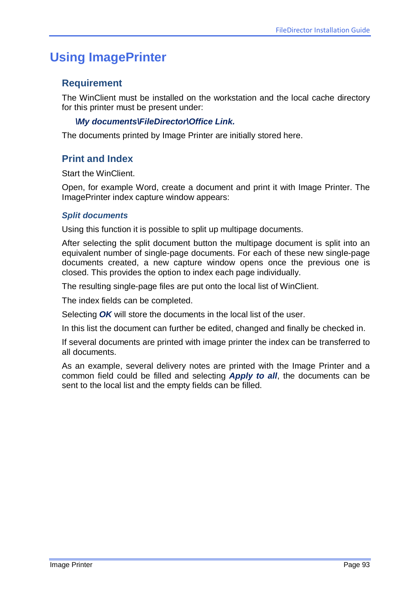## **Using ImagePrinter**

## **Requirement**

The WinClient must be installed on the workstation and the local cache directory for this printer must be present under:

### *\My documents\FileDirector\Office Link.*

The documents printed by Image Printer are initially stored here.

### **Print and Index**

Start the WinClient.

Open, for example Word, create a document and print it with Image Printer. The ImagePrinter index capture window appears:

#### *Split documents*

Using this function it is possible to split up multipage documents.

After selecting the split document button the multipage document is split into an equivalent number of single-page documents. For each of these new single-page documents created, a new capture window opens once the previous one is closed. This provides the option to index each page individually.

The resulting single-page files are put onto the local list of WinClient.

The index fields can be completed.

Selecting *OK* will store the documents in the local list of the user.

In this list the document can further be edited, changed and finally be checked in.

If several documents are printed with image printer the index can be transferred to all documents.

As an example, several delivery notes are printed with the Image Printer and a common field could be filled and selecting *Apply to all*, the documents can be sent to the local list and the empty fields can be filled.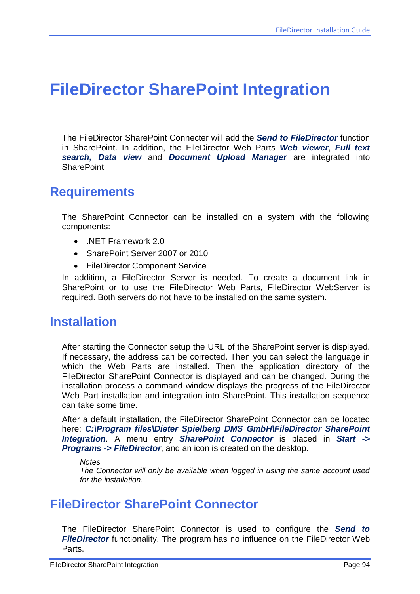# **FileDirector SharePoint Integration**

The FileDirector SharePoint Connecter will add the *Send to FileDirector* function in SharePoint. In addition, the FileDirector Web Parts *Web viewer*, *Full text search, Data view* and *Document Upload Manager* are integrated into **SharePoint** 

## **Requirements**

The SharePoint Connector can be installed on a system with the following components:

- .NET Framework 2.0
- SharePoint Server 2007 or 2010
- FileDirector Component Service

In addition, a FileDirector Server is needed. To create a document link in SharePoint or to use the FileDirector Web Parts, FileDirector WebServer is required. Both servers do not have to be installed on the same system.

## **Installation**

After starting the Connector setup the URL of the SharePoint server is displayed. If necessary, the address can be corrected. Then you can select the language in which the Web Parts are installed. Then the application directory of the FileDirector SharePoint Connector is displayed and can be changed. During the installation process a command window displays the progress of the FileDirector Web Part installation and integration into SharePoint. This installation sequence can take some time.

After a default installation, the FileDirector SharePoint Connector can be located here: *C:\Program files\Dieter Spielberg DMS GmbH\FileDirector SharePoint Integration*. A menu entry *SharePoint Connector* is placed in *Start -> Programs -> FileDirector*, and an icon is created on the desktop.

*Notes*

*The Connector will only be available when logged in using the same account used for the installation.*

## **FileDirector SharePoint Connector**

The FileDirector SharePoint Connector is used to configure the *Send to*  **FileDirector** functionality. The program has no influence on the FileDirector Web Parts.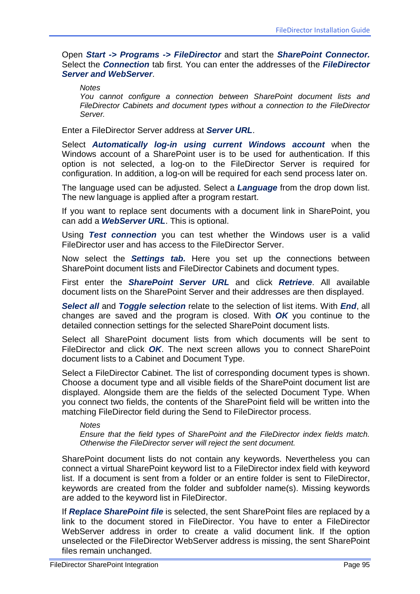Open *Start -> Programs -> FileDirector* and start the *SharePoint Connector.*  Select the *Connection* tab first. You can enter the addresses of the *FileDirector Server and WebServer*.

*Notes*

*You cannot configure a connection between SharePoint document lists and FileDirector Cabinets and document types without a connection to the FileDirector Server.*

Enter a FileDirector Server address at *Server URL*.

Select *Automatically log-in using current Windows account* when the Windows account of a SharePoint user is to be used for authentication. If this option is not selected, a log-on to the FileDirector Server is required for configuration. In addition, a log-on will be required for each send process later on.

The language used can be adjusted. Select a *Language* from the drop down list. The new language is applied after a program restart.

If you want to replace sent documents with a document link in SharePoint, you can add a *WebServer URL*. This is optional.

Using *Test connection* you can test whether the Windows user is a valid FileDirector user and has access to the FileDirector Server.

Now select the *Settings tab.* Here you set up the connections between SharePoint document lists and FileDirector Cabinets and document types.

First enter the *SharePoint Server URL* and click *Retrieve*. All available document lists on the SharePoint Server and their addresses are then displayed.

*Select all* and *Toggle selection* relate to the selection of list items. With *End*, all changes are saved and the program is closed. With *OK* you continue to the detailed connection settings for the selected SharePoint document lists.

Select all SharePoint document lists from which documents will be sent to FileDirector and click *OK*. The next screen allows you to connect SharePoint document lists to a Cabinet and Document Type.

Select a FileDirector Cabinet. The list of corresponding document types is shown. Choose a document type and all visible fields of the SharePoint document list are displayed. Alongside them are the fields of the selected Document Type. When you connect two fields, the contents of the SharePoint field will be written into the matching FileDirector field during the Send to FileDirector process.

*Notes*

*Ensure that the field types of SharePoint and the FileDirector index fields match. Otherwise the FileDirector server will reject the sent document.*

SharePoint document lists do not contain any keywords. Nevertheless you can connect a virtual SharePoint keyword list to a FileDirector index field with keyword list. If a document is sent from a folder or an entire folder is sent to FileDirector, keywords are created from the folder and subfolder name(s). Missing keywords are added to the keyword list in FileDirector.

If *Replace SharePoint file* is selected, the sent SharePoint files are replaced by a link to the document stored in FileDirector. You have to enter a FileDirector WebServer address in order to create a valid document link. If the option unselected or the FileDirector WebServer address is missing, the sent SharePoint files remain unchanged.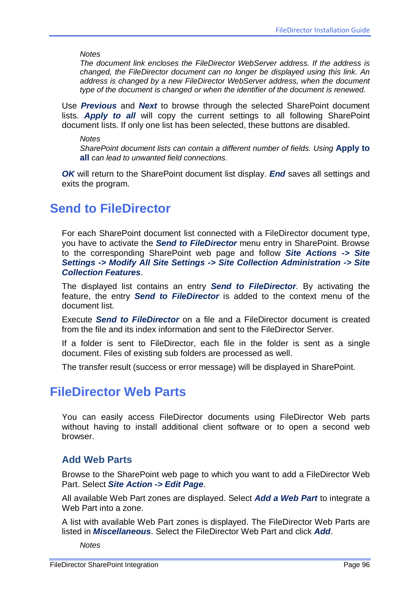*Notes*

*The document link encloses the FileDirector WebServer address. If the address is changed, the FileDirector document can no longer be displayed using this link. An address is changed by a new FileDirector WebServer address, when the document type of the document is changed or when the identifier of the document is renewed.*

Use *Previous* and *Next* to browse through the selected SharePoint document lists. *Apply to all* will copy the current settings to all following SharePoint document lists. If only one list has been selected, these buttons are disabled.

*Notes*

*SharePoint document lists can contain a different number of fields. Using* **Apply to all** *can lead to unwanted field connections.*

*OK* will return to the SharePoint document list display. *End* saves all settings and exits the program.

## **Send to FileDirector**

For each SharePoint document list connected with a FileDirector document type, you have to activate the *Send to FileDirector* menu entry in SharePoint. Browse to the corresponding SharePoint web page and follow *Site Actions -> Site Settings -> Modify All Site Settings -> Site Collection Administration -> Site Collection Features*.

The displayed list contains an entry *Send to FileDirector*. By activating the feature, the entry *Send to FileDirector* is added to the context menu of the document list.

Execute *Send to FileDirector* on a file and a FileDirector document is created from the file and its index information and sent to the FileDirector Server.

If a folder is sent to FileDirector, each file in the folder is sent as a single document. Files of existing sub folders are processed as well.

The transfer result (success or error message) will be displayed in SharePoint.

## **FileDirector Web Parts**

You can easily access FileDirector documents using FileDirector Web parts without having to install additional client software or to open a second web browser.

### **Add Web Parts**

Browse to the SharePoint web page to which you want to add a FileDirector Web Part. Select *Site Action -> Edit Page*.

All available Web Part zones are displayed. Select *Add a Web Part* to integrate a Web Part into a zone.

A list with available Web Part zones is displayed. The FileDirector Web Parts are listed in *Miscellaneous*. Select the FileDirector Web Part and click *Add*.

*Notes*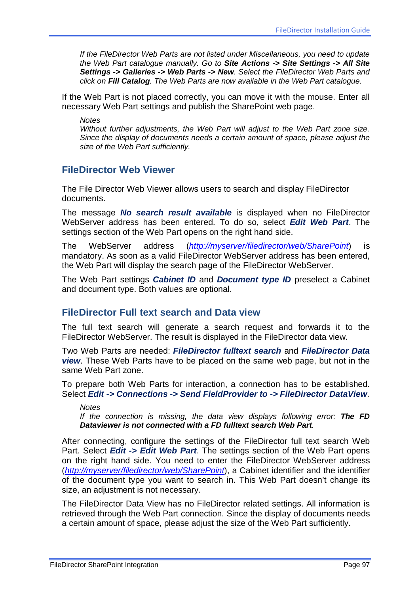*If the FileDirector Web Parts are not listed under Miscellaneous, you need to update the Web Part catalogue manually. Go to Site Actions -> Site Settings -> All Site Settings -> Galleries -> Web Parts -> New. Select the FileDirector Web Parts and click on Fill Catalog. The Web Parts are now available in the Web Part catalogue.*

If the Web Part is not placed correctly, you can move it with the mouse. Enter all necessary Web Part settings and publish the SharePoint web page.

*Notes Without further adjustments, the Web Part will adjust to the Web Part zone size. Since the display of documents needs a certain amount of space, please adjust the size of the Web Part sufficiently.*

### **FileDirector Web Viewer**

The File Director Web Viewer allows users to search and display FileDirector documents.

The message *No search result available* is displayed when no FileDirector WebServer address has been entered. To do so, select *Edit Web Part*. The settings section of the Web Part opens on the right hand side.

The WebServer address (*[http://myserver/filedirector/web/SharePoint](http://myserver/filedirector/web/sharepoint)*) is mandatory. As soon as a valid FileDirector WebServer address has been entered, the Web Part will display the search page of the FileDirector WebServer.

The Web Part settings *Cabinet ID* and *Document type ID* preselect a Cabinet and document type. Both values are optional.

### **FileDirector Full text search and Data view**

The full text search will generate a search request and forwards it to the FileDirector WebServer. The result is displayed in the FileDirector data view.

Two Web Parts are needed: *FileDirector fulltext search* and *FileDirector Data view*. These Web Parts have to be placed on the same web page, but not in the same Web Part zone.

To prepare both Web Parts for interaction, a connection has to be established. Select *Edit -> Connections -> Send FieldProvider to -> FileDirector DataView*.

#### *Notes*

*If the connection is missing, the data view displays following error: The FD Dataviewer is not connected with a FD fulltext search Web Part.*

After connecting, configure the settings of the FileDirector full text search Web Part. Select *Edit -> Edit Web Part*. The settings section of the Web Part opens on the right hand side. You need to enter the FileDirector WebServer address (*[http://myserver/filedirector/web/SharePoint](http://myserver/filedirector/web/sharepoint)*), a Cabinet identifier and the identifier of the document type you want to search in. This Web Part doesn't change its size, an adjustment is not necessary.

The FileDirector Data View has no FileDirector related settings. All information is retrieved through the Web Part connection. Since the display of documents needs a certain amount of space, please adjust the size of the Web Part sufficiently.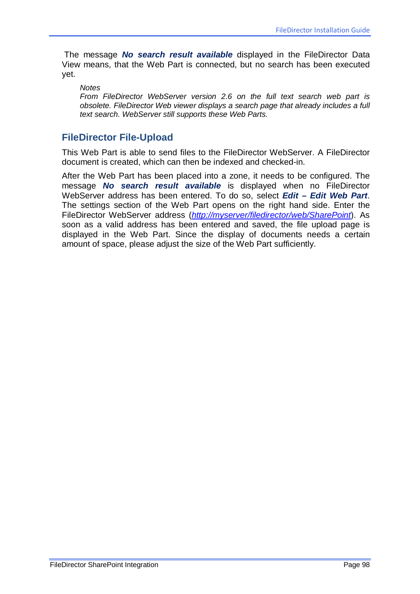The message *No search result available* displayed in the FileDirector Data View means, that the Web Part is connected, but no search has been executed yet.

*Notes*

*From FileDirector WebServer version 2.6 on the full text search web part is obsolete. FileDirector Web viewer displays a search page that already includes a full text search. WebServer still supports these Web Parts.*

### **FileDirector File-Upload**

This Web Part is able to send files to the FileDirector WebServer. A FileDirector document is created, which can then be indexed and checked-in.

After the Web Part has been placed into a zone, it needs to be configured. The message *No search result available* is displayed when no FileDirector WebServer address has been entered. To do so, select *Edit – Edit Web Part*. The settings section of the Web Part opens on the right hand side. Enter the FileDirector WebServer address (*[http://myserver/filedirector/web/SharePoint](http://myserver/filedirector/web/sharepoint)*). As soon as a valid address has been entered and saved, the file upload page is displayed in the Web Part. Since the display of documents needs a certain amount of space, please adjust the size of the Web Part sufficiently.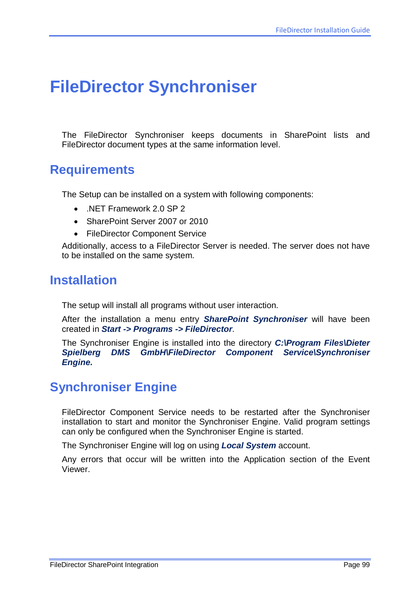# **FileDirector Synchroniser**

The FileDirector Synchroniser keeps documents in SharePoint lists and FileDirector document types at the same information level.

## **Requirements**

The Setup can be installed on a system with following components:

- .NET Framework 2.0 SP 2
- SharePoint Server 2007 or 2010
- FileDirector Component Service

Additionally, access to a FileDirector Server is needed. The server does not have to be installed on the same system.

## **Installation**

The setup will install all programs without user interaction.

After the installation a menu entry *SharePoint Synchroniser* will have been created in *Start -> Programs -> FileDirector*.

The Synchroniser Engine is installed into the directory *C:\Program Files\Dieter Spielberg DMS GmbH\FileDirector Component Service\Synchroniser Engine.*

## **Synchroniser Engine**

FileDirector Component Service needs to be restarted after the Synchroniser installation to start and monitor the Synchroniser Engine. Valid program settings can only be configured when the Synchroniser Engine is started.

The Synchroniser Engine will log on using *Local System* account.

Any errors that occur will be written into the Application section of the Event Viewer.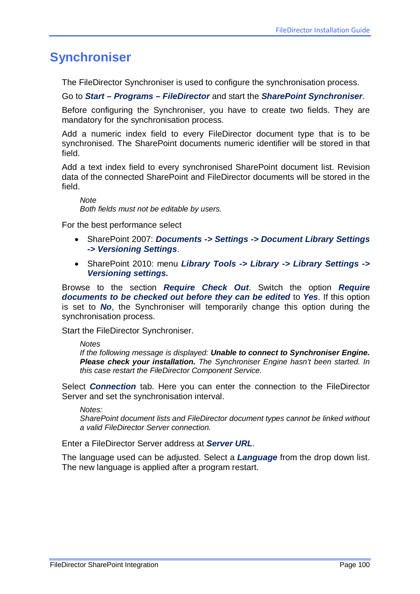## **Synchroniser**

The FileDirector Synchroniser is used to configure the synchronisation process.

#### Go to *Start – Programs – FileDirector* and start the *SharePoint Synchroniser*.

Before configuring the Synchroniser, you have to create two fields. They are mandatory for the synchronisation process.

Add a numeric index field to every FileDirector document type that is to be synchronised. The SharePoint documents numeric identifier will be stored in that field.

Add a text index field to every synchronised SharePoint document list. Revision data of the connected SharePoint and FileDirector documents will be stored in the field.

*Note Both fields must not be editable by users.*

For the best performance select

- SharePoint 2007: *Documents -> Settings -> Document Library Settings -> Versioning Settings*.
- SharePoint 2010: menu *Library Tools -> Library -> Library Settings -> Versioning settings.*

Browse to the section *Require Check Out*. Switch the option *Require documents to be checked out before they can be edited* to *Yes*. If this option is set to *No*, the Synchroniser will temporarily change this option during the synchronisation process.

Start the FileDirector Synchroniser.

*Notes*

*If the following message is displayed: Unable to connect to Synchroniser Engine. Please check your installation. The Synchroniser Engine hasn't been started. In this case restart the FileDirector Component Service.*

Select *Connection* tab. Here you can enter the connection to the FileDirector Server and set the synchronisation interval.

*Notes: SharePoint document lists and FileDirector document types cannot be linked without a valid FileDirector Server connection.*

Enter a FileDirector Server address at *Server URL*.

The language used can be adjusted. Select a *Language* from the drop down list. The new language is applied after a program restart.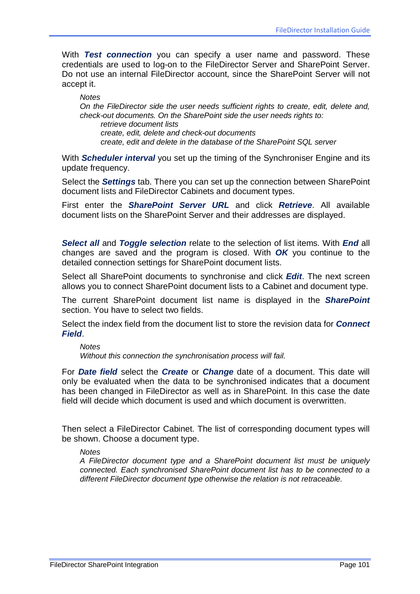With *Test connection* you can specify a user name and password. These credentials are used to log-on to the FileDirector Server and SharePoint Server. Do not use an internal FileDirector account, since the SharePoint Server will not accept it.

*Notes On the FileDirector side the user needs sufficient rights to create, edit, delete and, check-out documents. On the SharePoint side the user needs rights to: retrieve document lists create, edit, delete and check-out documents create, edit and delete in the database of the SharePoint SQL server*

With *Scheduler interval* you set up the timing of the Synchroniser Engine and its update frequency.

Select the *Settings* tab. There you can set up the connection between SharePoint document lists and FileDirector Cabinets and document types.

First enter the *SharePoint Server URL* and click *Retrieve*. All available document lists on the SharePoint Server and their addresses are displayed.

*Select all* and *Toggle selection* relate to the selection of list items. With *End* all changes are saved and the program is closed. With *OK* you continue to the detailed connection settings for SharePoint document lists.

Select all SharePoint documents to synchronise and click *Edit*. The next screen allows you to connect SharePoint document lists to a Cabinet and document type.

The current SharePoint document list name is displayed in the *SharePoint* section. You have to select two fields.

Select the index field from the document list to store the revision data for *Connect Field*.

## *Notes*

*Without this connection the synchronisation process will fail.*

For *Date field* select the *Create* or *Change* date of a document. This date will only be evaluated when the data to be synchronised indicates that a document has been changed in FileDirector as well as in SharePoint. In this case the date field will decide which document is used and which document is overwritten.

Then select a FileDirector Cabinet. The list of corresponding document types will be shown. Choose a document type.

#### *Notes*

*A FileDirector document type and a SharePoint document list must be uniquely connected. Each synchronised SharePoint document list has to be connected to a different FileDirector document type otherwise the relation is not retraceable.*